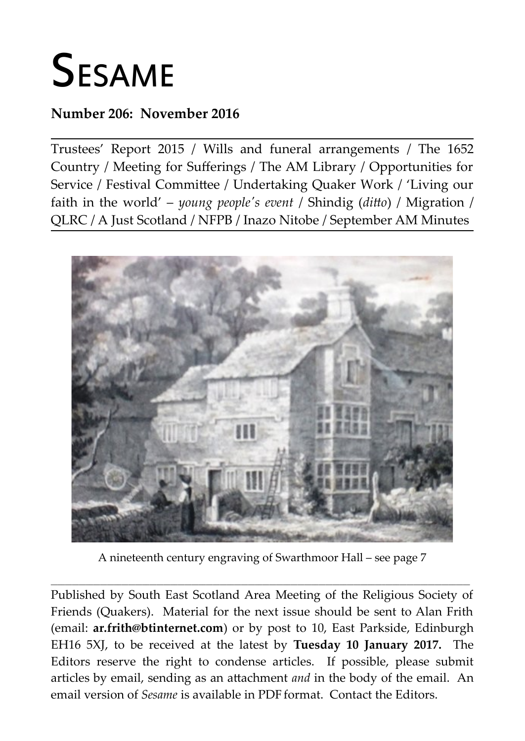# **SESAME**

#### **Number 206: November 2016**

Trustees' Report 2015 / Wills and funeral arrangements / The 1652 Country / Meeting for Sufferings / The AM Library / Opportunities for Service / Festival Committee / Undertaking Quaker Work / 'Living our faith in the world' – *young people's event* / Shindig (*ditto*) / Migration / QLRC / A Just Scotland / NFPB / Inazo Nitobe / September AM Minutes



A nineteenth century engraving of Swarthmoor Hall – see page 7

**\_\_\_\_\_\_\_\_\_\_\_\_\_\_\_\_\_\_\_\_\_\_\_\_\_\_\_\_\_\_\_\_\_\_\_\_\_\_\_\_\_\_\_\_\_\_\_\_\_\_\_\_\_\_\_\_\_\_\_\_\_\_\_\_\_\_\_\_\_\_\_\_\_\_\_\_\_\_\_\_\_\_\_\_\_\_\_\_\_\_\_\_\_\_\_\_\_\_\_\_\_\_\_\_\_\_\_\_\_\_\_\_\_\_\_\_\_\_\_**

Published by South East Scotland Area Meeting of the Religious Society of Friends (Quakers). Material for the next issue should be sent to Alan Frith (email: **[ar.frith@btinternet.com](mailto:ar.frith@btinternet.com)**) or by post to 10, East Parkside, Edinburgh EH16 5XJ, to be received at the latest by **Tuesday 10 January 2017.** The Editors reserve the right to condense articles. If possible, please submit articles by email, sending as an attachment *and* in the body of the email. An email version of *Sesame* is available in PDF format. Contact the Editors.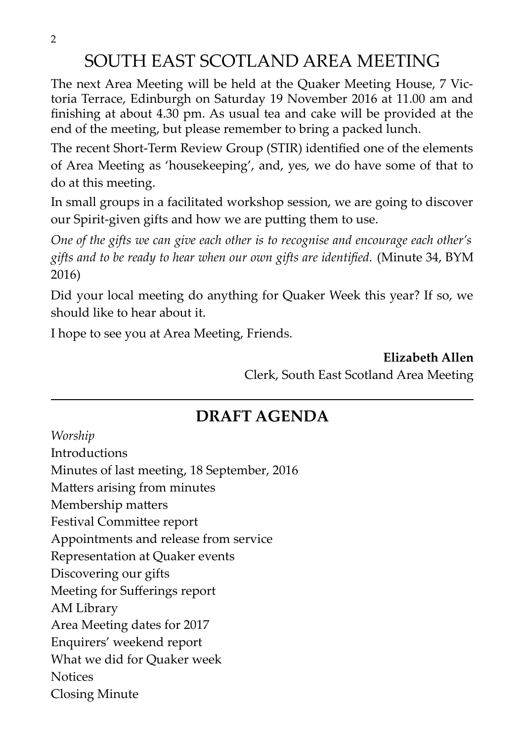2

# SOUTH EAST SCOTLAND AREA MEETING

The next Area Meeting will be held at the Quaker Meeting House, 7 Victoria Terrace, Edinburgh on Saturday 19 November 2016 at 11.00 am and finishing at about 4.30 pm. As usual tea and cake will be provided at the end of the meeting, but please remember to bring a packed lunch.

The recent Short-Term Review Group (STIR) identified one of the elements of Area Meeting as 'housekeeping', and, yes, we do have some of that to do at this meeting.

In small groups in a facilitated workshop session, we are going to discover our Spirit-given gifts and how we are putting them to use.

*One of the gifts we can give each other is to recognise and encourage each other's gifts and to be ready to hear when our own gifts are identified.* (Minute 34, BYM 2016)

Did your local meeting do anything for Quaker Week this year? If so, we should like to hear about it.

I hope to see you at Area Meeting, Friends.

**Elizabeth Allen** Clerk, South East Scotland Area Meeting

# **DRAFT AGENDA**

*Worship*

Introductions Minutes of last meeting, 18 September, 2016 Matters arising from minutes Membership matters Festival Committee report Appointments and release from service Representation at Quaker events Discovering our gifts Meeting for Sufferings report AM Library Area Meeting dates for 2017 Enquirers' weekend report What we did for Quaker week **Notices** Closing Minute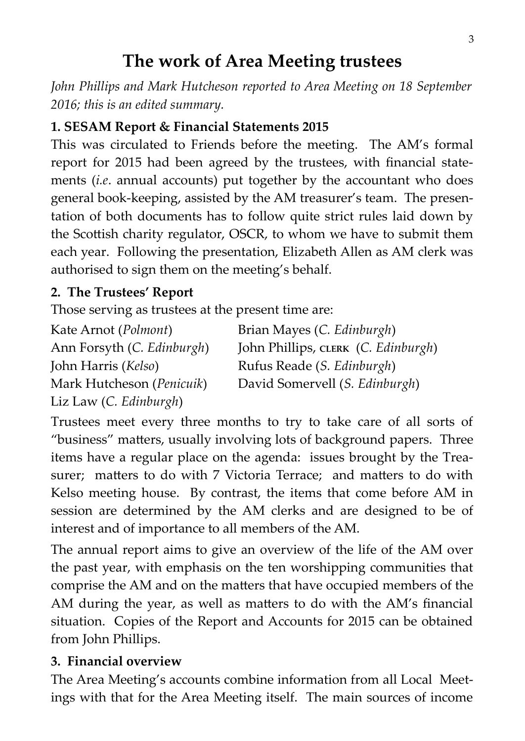# **The work of Area Meeting trustees**

*John Phillips and Mark Hutcheson reported to Area Meeting on 18 September 2016; this is an edited summary.*

#### **1. SESAM Report & Financial Statements 2015**

This was circulated to Friends before the meeting. The AM's formal report for 2015 had been agreed by the trustees, with financial statements (*i.e*. annual accounts) put together by the accountant who does general book-keeping, assisted by the AM treasurer's team. The presentation of both documents has to follow quite strict rules laid down by the Scottish charity regulator, OSCR, to whom we have to submit them each year. Following the presentation, Elizabeth Allen as AM clerk was authorised to sign them on the meeting's behalf.

#### **2. The Trustees' Report**

Those serving as trustees at the present time are:

| Kate Arnot (Polmont)         | Brian Mayes (C. Edinburgh)          |
|------------------------------|-------------------------------------|
| Ann Forsyth (C. Edinburgh)   | John Phillips, CLERK (C. Edinburgh) |
| John Harris ( <i>Kelso</i> ) | Rufus Reade (S. Edinburgh)          |
| Mark Hutcheson (Penicuik)    | David Somervell (S. Edinburgh)      |
| Liz Law (C. Edinburgh)       |                                     |

Trustees meet every three months to try to take care of all sorts of "business" matters, usually involving lots of background papers. Three items have a regular place on the agenda: issues brought by the Treasurer; matters to do with 7 Victoria Terrace; and matters to do with Kelso meeting house. By contrast, the items that come before AM in session are determined by the AM clerks and are designed to be of interest and of importance to all members of the AM.

The annual report aims to give an overview of the life of the AM over the past year, with emphasis on the ten worshipping communities that comprise the AM and on the matters that have occupied members of the AM during the year, as well as matters to do with the AM's financial situation. Copies of the Report and Accounts for 2015 can be obtained from John Phillips.

#### **3. Financial overview**

The Area Meeting's accounts combine information from all Local Meetings with that for the Area Meeting itself. The main sources of income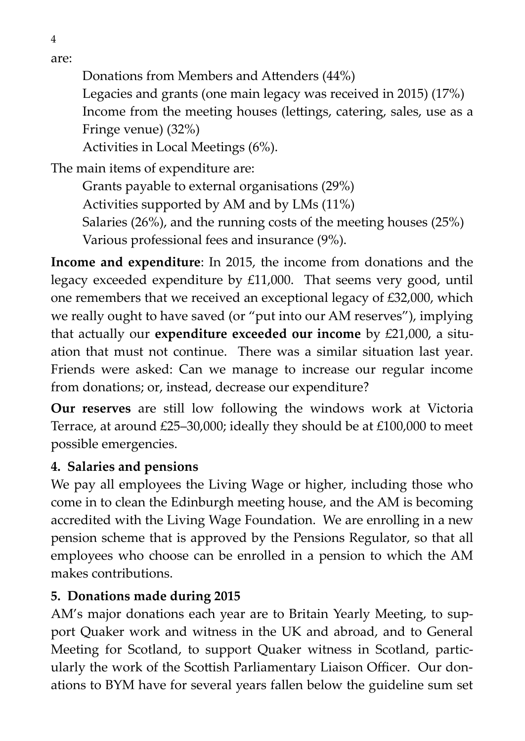are:

4

Donations from Members and Attenders (44%)

Legacies and grants (one main legacy was received in 2015) (17%) Income from the meeting houses (lettings, catering, sales, use as a Fringe venue) (32%)

Activities in Local Meetings (6%).

The main items of expenditure are:

Grants payable to external organisations (29%) Activities supported by AM and by LMs (11%) Salaries (26%), and the running costs of the meeting houses (25%) Various professional fees and insurance (9%).

**Income and expenditure**: In 2015, the income from donations and the legacy exceeded expenditure by £11,000. That seems very good, until one remembers that we received an exceptional legacy of £32,000, which we really ought to have saved (or "put into our AM reserves"), implying that actually our **expenditure exceeded our income** by £21,000, a situation that must not continue. There was a similar situation last year. Friends were asked: Can we manage to increase our regular income from donations; or, instead, decrease our expenditure?

**Our reserves** are still low following the windows work at Victoria Terrace, at around £25–30,000; ideally they should be at £100,000 to meet possible emergencies.

#### **4. Salaries and pensions**

We pay all employees the Living Wage or higher, including those who come in to clean the Edinburgh meeting house, and the AM is becoming accredited with the Living Wage Foundation. We are enrolling in a new pension scheme that is approved by the Pensions Regulator, so that all employees who choose can be enrolled in a pension to which the AM makes contributions.

#### **5. Donations made during 2015**

AM's major donations each year are to Britain Yearly Meeting, to support Quaker work and witness in the UK and abroad, and to General Meeting for Scotland, to support Quaker witness in Scotland, particularly the work of the Scottish Parliamentary Liaison Officer. Our donations to BYM have for several years fallen below the guideline sum set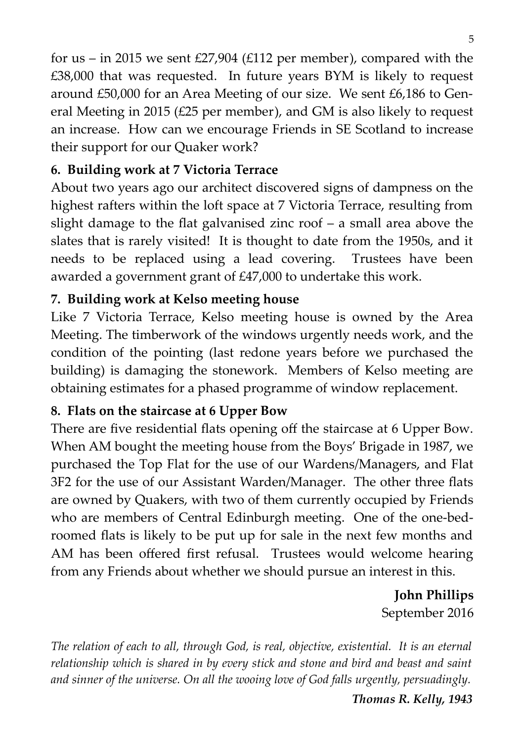for us – in 2015 we sent  $£27,904$  ( $£112$  per member), compared with the £38,000 that was requested. In future years BYM is likely to request around £50,000 for an Area Meeting of our size. We sent £6,186 to General Meeting in 2015 (£25 per member), and GM is also likely to request an increase. How can we encourage Friends in SE Scotland to increase their support for our Quaker work?

#### **6. Building work at 7 Victoria Terrace**

About two years ago our architect discovered signs of dampness on the highest rafters within the loft space at 7 Victoria Terrace, resulting from slight damage to the flat galvanised zinc roof – a small area above the slates that is rarely visited! It is thought to date from the 1950s, and it needs to be replaced using a lead covering. Trustees have been awarded a government grant of £47,000 to undertake this work.

#### **7. Building work at Kelso meeting house**

Like 7 Victoria Terrace, Kelso meeting house is owned by the Area Meeting. The timberwork of the windows urgently needs work, and the condition of the pointing (last redone years before we purchased the building) is damaging the stonework. Members of Kelso meeting are obtaining estimates for a phased programme of window replacement.

#### **8. Flats on the staircase at 6 Upper Bow**

There are five residential flats opening off the staircase at 6 Upper Bow. When AM bought the meeting house from the Boys' Brigade in 1987, we purchased the Top Flat for the use of our Wardens/Managers, and Flat 3F2 for the use of our Assistant Warden/Manager. The other three flats are owned by Quakers, with two of them currently occupied by Friends who are members of Central Edinburgh meeting. One of the one-bedroomed flats is likely to be put up for sale in the next few months and AM has been offered first refusal. Trustees would welcome hearing from any Friends about whether we should pursue an interest in this.

> **John Phillips** September 2016

*The relation of each to all, through God, is real, objective, existential. It is an eternal relationship which is shared in by every stick and stone and bird and beast and saint and sinner of the universe. On all the wooing love of God falls urgently, persuadingly.*

*Thomas R. Kelly, 1943*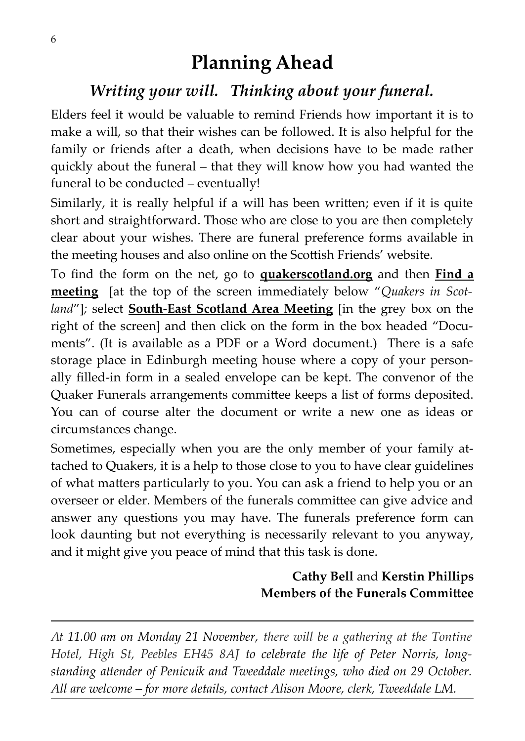# **Planning Ahead**

# *Writing your will. Thinking about your funeral.*

Elders feel it would be valuable to remind Friends how important it is to make a will, so that their wishes can be followed. It is also helpful for the family or friends after a death, when decisions have to be made rather quickly about the funeral – that they will know how you had wanted the funeral to be conducted – eventually!

Similarly, it is really helpful if a will has been written; even if it is quite short and straightforward. Those who are close to you are then completely clear about your wishes. There are funeral preference forms available in the meeting houses and also online on the Scottish Friends' website.

To find the form on the net, go to **quakerscotland.org** and then **Find a meeting** [at the top of the screen immediately below "*Quakers in Scotland*"]*;* select **South-East Scotland Area Meeting** [in the grey box on the right of the screen] and then click on the form in the box headed "Documents". (It is available as a PDF or a Word document.) There is a safe storage place in Edinburgh meeting house where a copy of your personally filled-in form in a sealed envelope can be kept. The convenor of the Quaker Funerals arrangements committee keeps a list of forms deposited. You can of course alter the document or write a new one as ideas or circumstances change.

Sometimes, especially when you are the only member of your family attached to Quakers, it is a help to those close to you to have clear guidelines of what matters particularly to you. You can ask a friend to help you or an overseer or elder. Members of the funerals committee can give advice and answer any questions you may have. The funerals preference form can look daunting but not everything is necessarily relevant to you anyway, and it might give you peace of mind that this task is done.

#### **Cathy Bell** and **Kerstin Phillips Members of the Funerals Committee**

*At 11.00 am on Monday 21 November, there will be a gathering at the Tontine Hotel, High St, Peebles EH45 8AJ to celebrate the life of Peter Norris, longstanding attender of Penicuik and Tweeddale meetings, who died on 29 October. All are welcome – for more details, contact Alison Moore, clerk, Tweeddale LM.*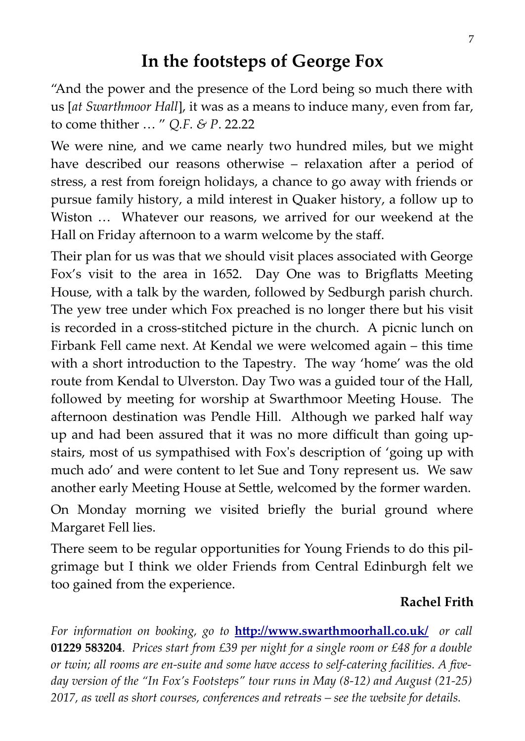### **In the footsteps of George Fox**

"And the power and the presence of the Lord being so much there with us [*at Swarthmoor Hall*], it was as a means to induce many, even from far, to come thither … " *Q.F. & P*. 22.22

We were nine, and we came nearly two hundred miles, but we might have described our reasons otherwise – relaxation after a period of stress, a rest from foreign holidays, a chance to go away with friends or pursue family history, a mild interest in Quaker history, a follow up to Wiston … Whatever our reasons, we arrived for our weekend at the Hall on Friday afternoon to a warm welcome by the staff.

Their plan for us was that we should visit places associated with George Fox's visit to the area in 1652. Day One was to Brigflatts Meeting House, with a talk by the warden, followed by Sedburgh parish church. The yew tree under which Fox preached is no longer there but his visit is recorded in a cross-stitched picture in the church. A picnic lunch on Firbank Fell came next. At Kendal we were welcomed again – this time with a short introduction to the Tapestry. The way 'home' was the old route from Kendal to Ulverston. Day Two was a guided tour of the Hall, followed by meeting for worship at Swarthmoor Meeting House. The afternoon destination was Pendle Hill. Although we parked half way up and had been assured that it was no more difficult than going upstairs, most of us sympathised with Fox's description of 'going up with much ado' and were content to let Sue and Tony represent us. We saw another early Meeting House at Settle, welcomed by the former warden.

On Monday morning we visited briefly the burial ground where Margaret Fell lies.

There seem to be regular opportunities for Young Friends to do this pilgrimage but I think we older Friends from Central Edinburgh felt we too gained from the experience.

#### **Rachel Frith**

*For information on booking, go to* **<http://www.swarthmoorhall.co.uk/>***or call* **01229 583204**. *Prices start from £39 per night for a single room or £48 for a double or twin; all rooms are en-suite and some have access to self-catering facilities. A fiveday version of the "In Fox's Footsteps" tour runs in May (8-12) and August (21-25) 2017, as well as short courses, conferences and retreats – see the website for details.*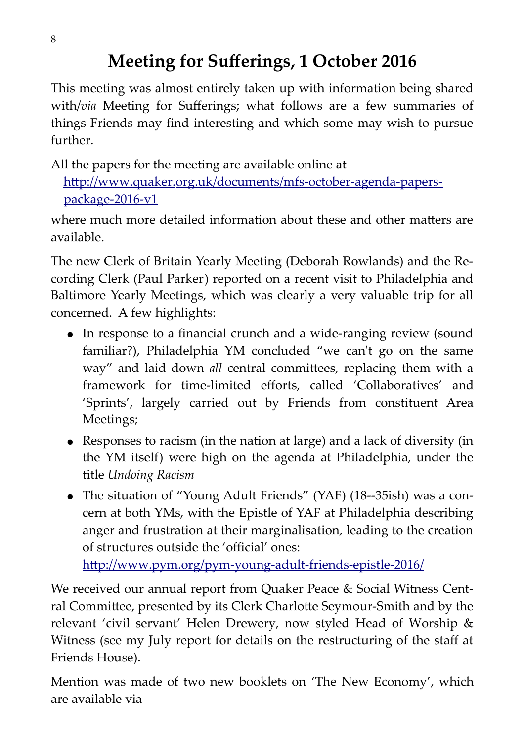# **Meeting for Sufferings, 1 October 2016**

This meeting was almost entirely taken up with information being shared with/*via* Meeting for Sufferings; what follows are a few summaries of things Friends may find interesting and which some may wish to pursue further.

All the papers for the meeting are available online at

 [http://www.quaker.org.uk/documents/mfs-october-agenda-papers](http://www.quaker.org.uk/documents/mfs-october-agenda-papers-) [package-2016-v1](http://www.quaker.org.uk/documents/mfs-october-agenda-papers-package-2016-v1)

where much more detailed information about these and other matters are available.

The new Clerk of Britain Yearly Meeting (Deborah Rowlands) and the Recording Clerk (Paul Parker) reported on a recent visit to Philadelphia and Baltimore Yearly Meetings, which was clearly a very valuable trip for all concerned. A few highlights:

- In response to a financial crunch and a wide-ranging review (sound familiar?), Philadelphia YM concluded "we can't go on the same way" and laid down *all* central committees, replacing them with a framework for time-limited efforts, called 'Collaboratives' and 'Sprints', largely carried out by Friends from constituent Area Meetings;
- Responses to racism (in the nation at large) and a lack of diversity (in the YM itself) were high on the agenda at Philadelphia, under the title *Undoing Racism*
- The situation of "Young Adult Friends" (YAF) (18--35ish) was a concern at both YMs, with the Epistle of YAF at Philadelphia describing anger and frustration at their marginalisation, leading to the creation of structures outside the 'official' ones:

<http://www.pym.org/pym-young-adult-friends-epistle-2016/>

We received our annual report from Quaker Peace & Social Witness Central Committee, presented by its Clerk Charlotte Seymour-Smith and by the relevant 'civil servant' Helen Drewery, now styled Head of Worship & Witness (see my July report for details on the restructuring of the staff at Friends House).

Mention was made of two new booklets on 'The New Economy', which are available via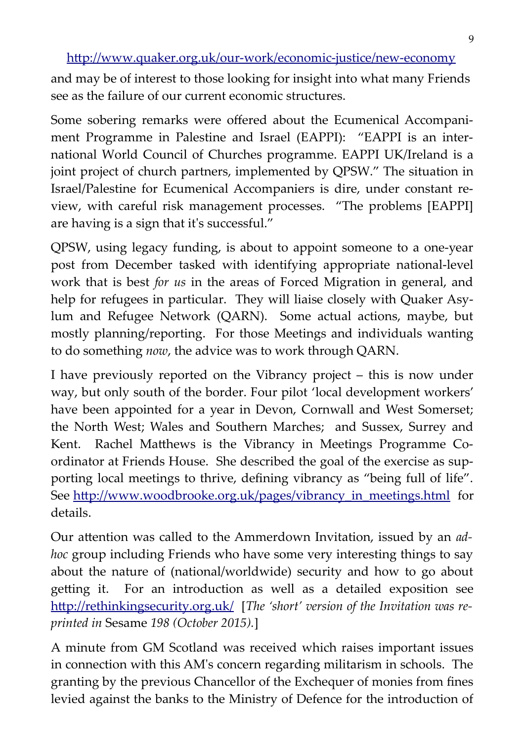<http://www.quaker.org.uk/our-work/economic-justice/new-economy>

and may be of interest to those looking for insight into what many Friends see as the failure of our current economic structures.

Some sobering remarks were offered about the Ecumenical Accompaniment Programme in Palestine and Israel (EAPPI): "EAPPI is an international World Council of Churches programme. EAPPI UK/Ireland is a joint project of church partners, implemented by QPSW." The situation in Israel/Palestine for Ecumenical Accompaniers is dire, under constant review, with careful risk management processes. "The problems [EAPPI] are having is a sign that it's successful."

QPSW, using legacy funding, is about to appoint someone to a one-year post from December tasked with identifying appropriate national-level work that is best *for us* in the areas of Forced Migration in general, and help for refugees in particular. They will liaise closely with Quaker Asylum and Refugee Network (QARN). Some actual actions, maybe, but mostly planning/reporting. For those Meetings and individuals wanting to do something *now*, the advice was to work through QARN.

I have previously reported on the Vibrancy project – this is now under way, but only south of the border. Four pilot 'local development workers' have been appointed for a year in Devon, Cornwall and West Somerset; the North West; Wales and Southern Marches; and Sussex, Surrey and Kent. Rachel Matthews is the Vibrancy in Meetings Programme Coordinator at Friends House. She described the goal of the exercise as supporting local meetings to thrive, defining vibrancy as "being full of life". See [http://www.woodbrooke.org.uk/pages/vibrancy\\_in\\_meetings.html](http://www.woodbrooke.org.uk/pages/vibrancy_in_meetings.html) for details.

Our attention was called to the Ammerdown Invitation, issued by an *adhoc* group including Friends who have some very interesting things to say about the nature of (national/worldwide) security and how to go about getting it. For an introduction as well as a detailed exposition see <http://rethinkingsecurity.org.uk/>[*The 'short' version of the Invitation was reprinted in* Sesame *198 (October 2015).*]

A minute from GM Scotland was received which raises important issues in connection with this AM's concern regarding militarism in schools. The granting by the previous Chancellor of the Exchequer of monies from fines levied against the banks to the Ministry of Defence for the introduction of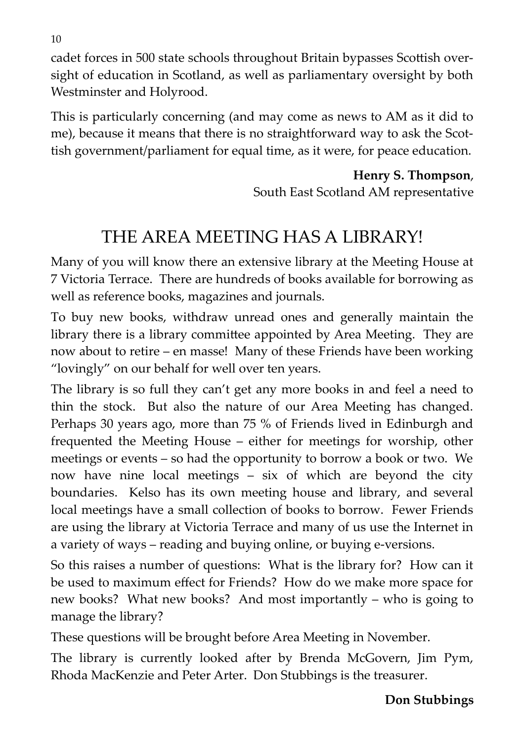cadet forces in 500 state schools throughout Britain bypasses Scottish oversight of education in Scotland, as well as parliamentary oversight by both Westminster and Holyrood.

This is particularly concerning (and may come as news to AM as it did to me), because it means that there is no straightforward way to ask the Scottish government/parliament for equal time, as it were, for peace education.

> **Henry S. Thompson**, South East Scotland AM representative

# THE AREA MEETING HAS A LIBRARY!

Many of you will know there an extensive library at the Meeting House at 7 Victoria Terrace. There are hundreds of books available for borrowing as well as reference books, magazines and journals.

To buy new books, withdraw unread ones and generally maintain the library there is a library committee appointed by Area Meeting. They are now about to retire – en masse! Many of these Friends have been working "lovingly" on our behalf for well over ten years.

The library is so full they can't get any more books in and feel a need to thin the stock. But also the nature of our Area Meeting has changed. Perhaps 30 years ago, more than 75 % of Friends lived in Edinburgh and frequented the Meeting House – either for meetings for worship, other meetings or events – so had the opportunity to borrow a book or two. We now have nine local meetings – six of which are beyond the city boundaries. Kelso has its own meeting house and library, and several local meetings have a small collection of books to borrow. Fewer Friends are using the library at Victoria Terrace and many of us use the Internet in a variety of ways – reading and buying online, or buying e-versions.

So this raises a number of questions: What is the library for? How can it be used to maximum effect for Friends? How do we make more space for new books? What new books? And most importantly – who is going to manage the library?

These questions will be brought before Area Meeting in November.

The library is currently looked after by Brenda McGovern, Jim Pym, Rhoda MacKenzie and Peter Arter. Don Stubbings is the treasurer.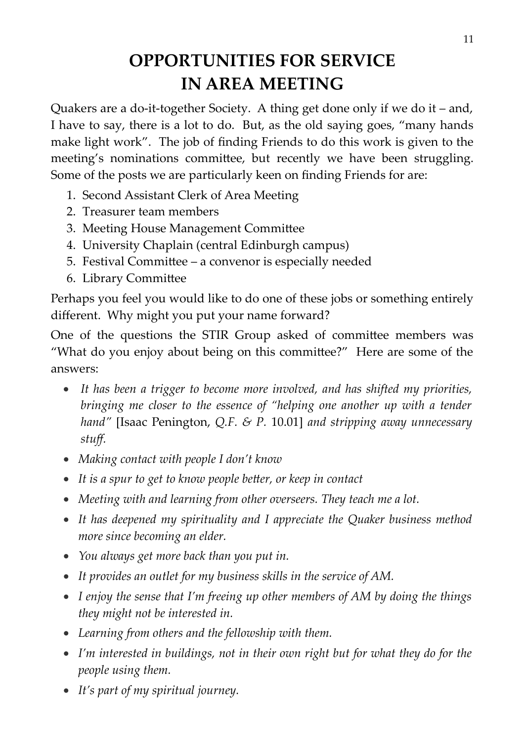# **OPPORTUNITIES FOR SERVICE IN AREA MEETING**

Quakers are a do-it-together Society. A thing get done only if we do it – and, I have to say, there is a lot to do. But, as the old saying goes, "many hands make light work". The job of finding Friends to do this work is given to the meeting's nominations committee, but recently we have been struggling. Some of the posts we are particularly keen on finding Friends for are:

- 1. Second Assistant Clerk of Area Meeting
- 2. Treasurer team members
- 3. Meeting House Management Committee
- 4. University Chaplain (central Edinburgh campus)
- 5. Festival Committee a convenor is especially needed
- 6. Library Committee

Perhaps you feel you would like to do one of these jobs or something entirely different. Why might you put your name forward?

One of the questions the STIR Group asked of committee members was "What do you enjoy about being on this committee?" Here are some of the answers:

- *It has been a trigger to become more involved, and has shifted my priorities, bringing me closer to the essence of "helping one another up with a tender hand"* [Isaac Penington, *Q.F. & P.* 10.01] *and stripping away unnecessary stuff.*
- *Making contact with people I don't know*
- *It is a spur to get to know people better, or keep in contact*
- *Meeting with and learning from other overseers. They teach me a lot.*
- *It has deepened my spirituality and I appreciate the Quaker business method more since becoming an elder.*
- *You always get more back than you put in.*
- *It provides an outlet for my business skills in the service of AM.*
- *I enjoy the sense that I'm freeing up other members of AM by doing the things they might not be interested in.*
- *Learning from others and the fellowship with them.*
- *I'm interested in buildings, not in their own right but for what they do for the people using them.*
- *It's part of my spiritual journey.*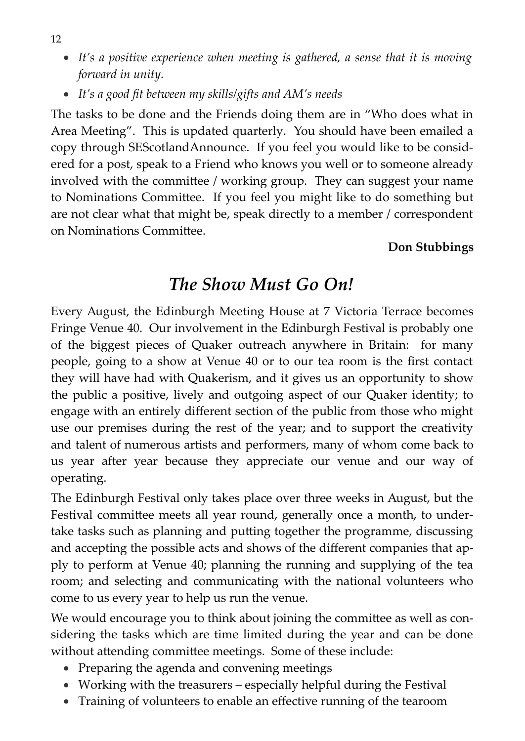- *It's a positive experience when meeting is gathered, a sense that it is moving forward in unity.*
- *It's a good fit between my skills/gifts and AM's needs*

The tasks to be done and the Friends doing them are in "Who does what in Area Meeting". This is updated quarterly. You should have been emailed a copy through SEScotlandAnnounce. If you feel you would like to be considered for a post, speak to a Friend who knows you well or to someone already involved with the committee / working group. They can suggest your name to Nominations Committee. If you feel you might like to do something but are not clear what that might be, speak directly to a member / correspondent on Nominations Committee.

#### **Don Stubbings**

# *The Show Must Go On!*

Every August, the Edinburgh Meeting House at 7 Victoria Terrace becomes Fringe Venue 40. Our involvement in the Edinburgh Festival is probably one of the biggest pieces of Quaker outreach anywhere in Britain: for many people, going to a show at Venue 40 or to our tea room is the first contact they will have had with Quakerism, and it gives us an opportunity to show the public a positive, lively and outgoing aspect of our Quaker identity; to engage with an entirely different section of the public from those who might use our premises during the rest of the year; and to support the creativity and talent of numerous artists and performers, many of whom come back to us year after year because they appreciate our venue and our way of operating.

The Edinburgh Festival only takes place over three weeks in August, but the Festival committee meets all year round, generally once a month, to undertake tasks such as planning and putting together the programme, discussing and accepting the possible acts and shows of the different companies that apply to perform at Venue 40; planning the running and supplying of the tea room; and selecting and communicating with the national volunteers who come to us every year to help us run the venue.

We would encourage you to think about joining the committee as well as considering the tasks which are time limited during the year and can be done without attending committee meetings. Some of these include:

- Preparing the agenda and convening meetings
- Working with the treasurers especially helpful during the Festival
- Training of volunteers to enable an effective running of the tearoom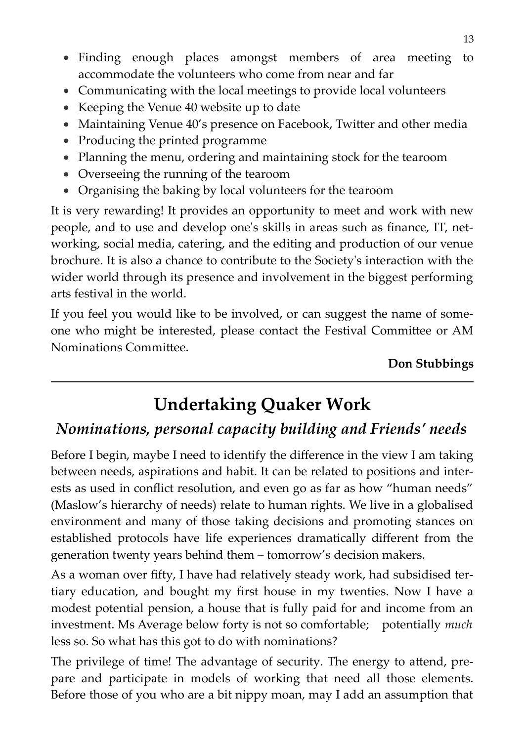- Finding enough places amongst members of area meeting to accommodate the volunteers who come from near and far
- Communicating with the local meetings to provide local volunteers
- Keeping the Venue 40 website up to date
- Maintaining Venue 40's presence on Facebook, Twitter and other media
- Producing the printed programme
- Planning the menu, ordering and maintaining stock for the tearoom
- Overseeing the running of the tearoom
- Organising the baking by local volunteers for the tearoom

It is very rewarding! It provides an opportunity to meet and work with new people, and to use and develop one's skills in areas such as finance, IT, networking, social media, catering, and the editing and production of our venue brochure. It is also a chance to contribute to the Society's interaction with the wider world through its presence and involvement in the biggest performing arts festival in the world.

If you feel you would like to be involved, or can suggest the name of someone who might be interested, please contact the Festival Committee or AM Nominations Committee.

**Don Stubbings**

# **Undertaking Quaker Work**

#### *Nominations, personal capacity building and Friends' needs*

Before I begin, maybe I need to identify the difference in the view I am taking between needs, aspirations and habit. It can be related to positions and interests as used in conflict resolution, and even go as far as how "human needs" (Maslow's hierarchy of needs) relate to human rights. We live in a globalised environment and many of those taking decisions and promoting stances on established protocols have life experiences dramatically different from the generation twenty years behind them – tomorrow's decision makers.

As a woman over fifty, I have had relatively steady work, had subsidised tertiary education, and bought my first house in my twenties. Now I have a modest potential pension, a house that is fully paid for and income from an investment. Ms Average below forty is not so comfortable; potentially *much* less so. So what has this got to do with nominations?

The privilege of time! The advantage of security. The energy to attend, prepare and participate in models of working that need all those elements. Before those of you who are a bit nippy moan, may I add an assumption that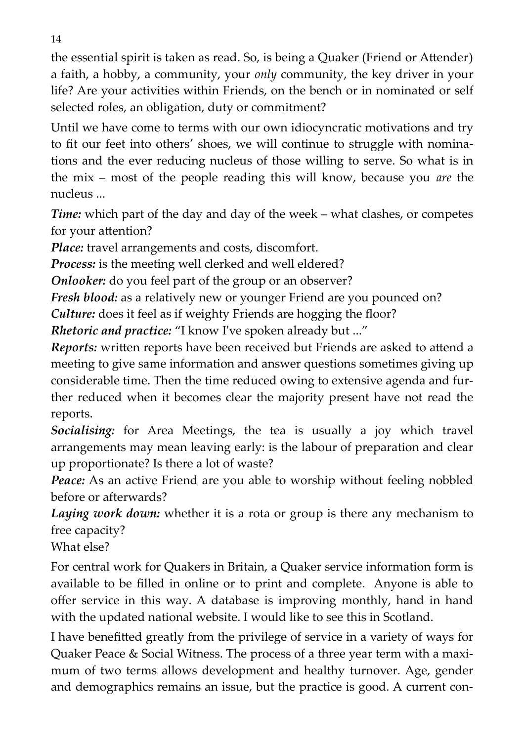the essential spirit is taken as read. So, is being a Quaker (Friend or Attender) a faith, a hobby, a community, your *only* community, the key driver in your life? Are your activities within Friends, on the bench or in nominated or self selected roles, an obligation, duty or commitment?

Until we have come to terms with our own idiocyncratic motivations and try to fit our feet into others' shoes, we will continue to struggle with nominations and the ever reducing nucleus of those willing to serve. So what is in the mix – most of the people reading this will know, because you *are* the nucleus ...

*Time:* which part of the day and day of the week – what clashes, or competes for your attention?

*Place:* travel arrangements and costs, discomfort.

*Process:* is the meeting well clerked and well eldered?

*Onlooker:* do you feel part of the group or an observer?

*Fresh blood:* as a relatively new or younger Friend are you pounced on?

*Culture:* does it feel as if weighty Friends are hogging the floor?

*Rhetoric and practice:* "I know I've spoken already but ..."

*Reports:* written reports have been received but Friends are asked to attend a meeting to give same information and answer questions sometimes giving up considerable time. Then the time reduced owing to extensive agenda and further reduced when it becomes clear the majority present have not read the reports.

*Socialising:* for Area Meetings, the tea is usually a joy which travel arrangements may mean leaving early: is the labour of preparation and clear up proportionate? Is there a lot of waste?

*Peace:* As an active Friend are you able to worship without feeling nobbled before or afterwards?

*Laying work down:* whether it is a rota or group is there any mechanism to free capacity?

What else?

For central work for Quakers in Britain, a Quaker service information form is available to be filled in online or to print and complete. Anyone is able to offer service in this way. A database is improving monthly, hand in hand with the updated national website. I would like to see this in Scotland.

I have benefitted greatly from the privilege of service in a variety of ways for Quaker Peace & Social Witness. The process of a three year term with a maximum of two terms allows development and healthy turnover. Age, gender and demographics remains an issue, but the practice is good. A current con-

14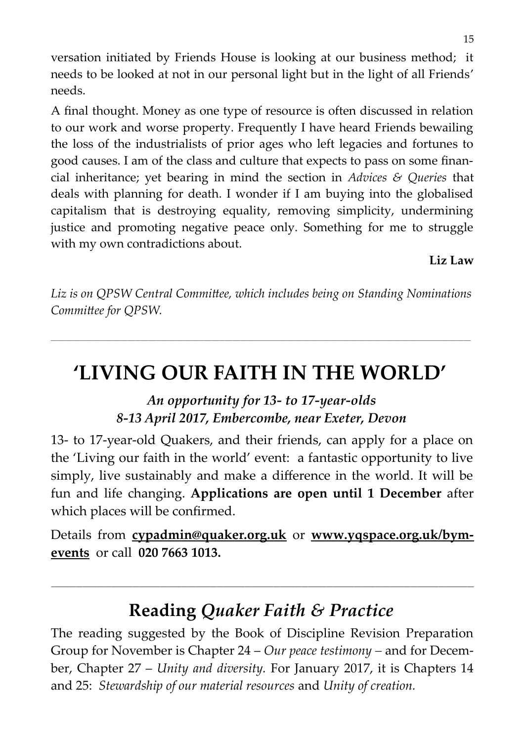versation initiated by Friends House is looking at our business method; it needs to be looked at not in our personal light but in the light of all Friends' needs.

A final thought. Money as one type of resource is often discussed in relation to our work and worse property. Frequently I have heard Friends bewailing the loss of the industrialists of prior ages who left legacies and fortunes to good causes. I am of the class and culture that expects to pass on some financial inheritance; yet bearing in mind the section in *Advices & Queries* that deals with planning for death. I wonder if I am buying into the globalised capitalism that is destroying equality, removing simplicity, undermining justice and promoting negative peace only. Something for me to struggle with my own contradictions about.

**Liz Law**

*Liz is on QPSW Central Committee, which includes being on Standing Nominations Committee for QPSW.*

*\_\_\_\_\_\_\_\_\_\_\_\_\_\_\_\_\_\_\_\_\_\_\_\_\_\_\_\_\_\_\_\_\_\_\_\_\_\_\_\_\_\_\_\_\_\_\_\_\_\_\_\_\_\_\_\_\_\_\_\_\_\_\_\_\_\_\_\_\_\_\_\_\_\_\_\_\_\_\_\_\_\_\_\_\_\_\_\_\_\_\_\_\_\_\_\_\_\_\_\_\_\_\_\_\_\_\_\_\_\_\_\_\_\_\_\_\_\_\_\_\_\_\_\_\_\_\_\_\_\_\_\_\_\_\_\_\_\_\_\_\_\_\_\_\_\_\_\_\_\_\_\_\_\_\_\_\_\_\_*

# **'LIVING OUR FAITH IN THE WORLD'**

#### *An opportunity for 13- to 17-year-olds 8-13 April 2017, Embercombe, near Exeter, Devon*

13- to 17-year-old Quakers, and their friends, can apply for a place on the 'Living our faith in the world' event: a fantastic opportunity to live simply, live sustainably and make a difference in the world. It will be fun and life changing. **Applications are open until 1 December** after which places will be confirmed.

Details from **[cypadmin@quaker.org.uk](mailto:cypadmin@quaker.org.uk)** or **[www.yqspace.org.uk/bym](http://www.yqspace.org.uk/bym-events)[events](http://www.yqspace.org.uk/bym-events)** or call **020 7663 1013.**

# **Reading** *Quaker Faith & Practice*

**\_\_\_\_\_\_\_\_\_\_\_\_\_\_\_\_\_\_\_\_\_\_\_\_\_\_\_\_\_\_\_\_\_\_\_\_\_\_\_\_\_\_\_\_\_\_\_\_\_\_\_\_\_\_\_\_\_\_\_\_\_\_\_\_\_\_\_\_\_\_\_\_\_\_\_\_\_\_\_\_\_\_\_\_\_\_\_\_\_\_\_\_\_\_\_\_\_\_\_\_\_\_\_\_\_\_\_\_\_\_\_\_\_\_\_\_\_\_\_\_**

The reading suggested by the Book of Discipline Revision Preparation Group for November is Chapter 24 – *Our peace testimony –* and for December, Chapter 27 – *Unity and diversity.* For January 2017, it is Chapters 14 and 25: *Stewardship of our material resources* and *Unity of creation.*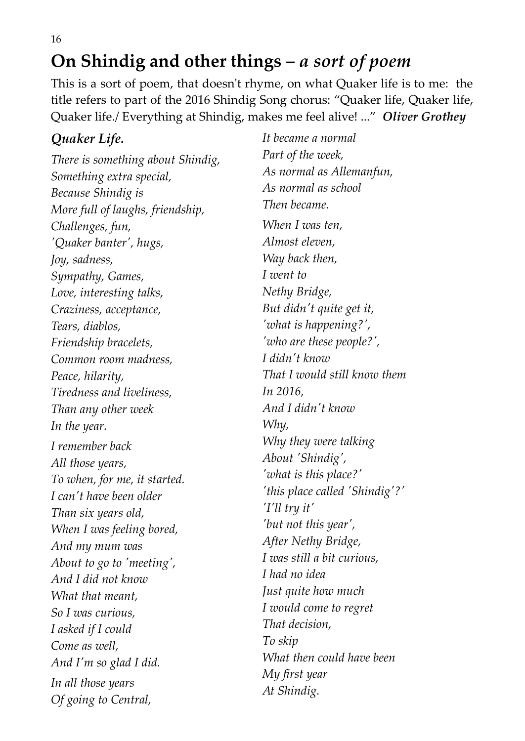**On Shindig and other things –** *a sort of poem*

This is a sort of poem, that doesn't rhyme, on what Quaker life is to me: the title refers to part of the 2016 Shindig Song chorus: "Quaker life, Quaker life, Quaker life./ Everything at Shindig, makes me feel alive! ..." *Oliver Grothey*

#### *Quaker Life.*

*There is something about Shindig, Something extra special, Because Shindig is More full of laughs, friendship, Challenges, fun, 'Quaker banter', hugs, Joy, sadness, Sympathy, Games, Love, interesting talks, Craziness, acceptance, Tears, diablos, Friendship bracelets, Common room madness, Peace, hilarity, Tiredness and liveliness, Than any other week In the year. I remember back All those years, To when, for me, it started. I can't have been older Than six years old, When I was feeling bored, And my mum was About to go to 'meeting', And I did not know What that meant, So I was curious, I asked if I could Come as well, And I'm so glad I did. In all those years Of going to Central,*

*It became a normal Part of the week, As normal as Allemanfun, As normal as school Then became. When I was ten, Almost eleven, Way back then, I went to Nethy Bridge, But didn't quite get it, 'what is happening?', 'who are these people?', I didn't know That I would still know them In 2016, And I didn't know Why, Why they were talking About 'Shindig', 'what is this place?' 'this place called 'Shindig'?' 'I'll try it' 'but not this year', After Nethy Bridge, I was still a bit curious, I had no idea Just quite how much I would come to regret That decision, To skip What then could have been My first year At Shindig.*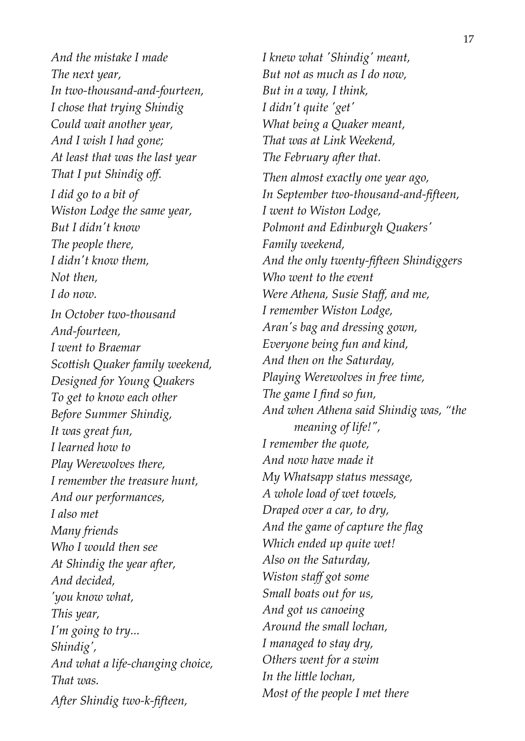*And the mistake I made The next year, In two-thousand-and-fourteen, I chose that trying Shindig Could wait another year, And I wish I had gone; At least that was the last year That I put Shindig off. I did go to a bit of Wiston Lodge the same year, But I didn't know The people there, I didn't know them, Not then, I do now. In October two-thousand And-fourteen, I went to Braemar Scottish Quaker family weekend, Designed for Young Quakers To get to know each other Before Summer Shindig, It was great fun, I learned how to Play Werewolves there, I remember the treasure hunt, And our performances, I also met Many friends Who I would then see At Shindig the year after, And decided, 'you know what, This year, I'm going to try... Shindig', And what a life-changing choice, That was. After Shindig two-k-fifteen,*

*I knew what 'Shindig' meant, But not as much as I do now, But in a way, I think, I didn't quite 'get' What being a Quaker meant, That was at Link Weekend, The February after that. Then almost exactly one year ago, In September two-thousand-and-fifteen, I went to Wiston Lodge, Polmont and Edinburgh Quakers' Family weekend, And the only twenty-fifteen Shindiggers Who went to the event Were Athena, Susie Staff, and me, I remember Wiston Lodge, Aran's bag and dressing gown, Everyone being fun and kind, And then on the Saturday, Playing Werewolves in free time, The game I find so fun, And when Athena said Shindig was, "the meaning of life!", I remember the quote, And now have made it My Whatsapp status message, A whole load of wet towels, Draped over a car, to dry, And the game of capture the flag Which ended up quite wet! Also on the Saturday, Wiston staff got some Small boats out for us, And got us canoeing Around the small lochan, I managed to stay dry, Others went for a swim In the little lochan, Most of the people I met there*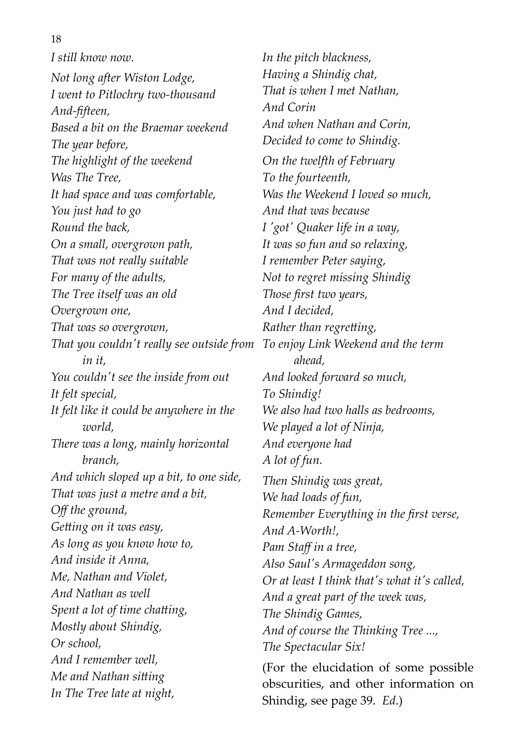#### 18

*I still know now.*

*Not long after Wiston Lodge, I went to Pitlochry two-thousand And-fifteen, Based a bit on the Braemar weekend The year before, The highlight of the weekend Was The Tree, It had space and was comfortable, You just had to go Round the back, On a small, overgrown path, That was not really suitable For many of the adults, The Tree itself was an old Overgrown one, That was so overgrown, That you couldn't really see outside from To enjoy Link Weekend and the term in it, You couldn't see the inside from out It felt special, It felt like it could be anywhere in the world, There was a long, mainly horizontal branch, And which sloped up a bit, to one side, That was just a metre and a bit, Off the ground, Getting on it was easy, As long as you know how to, And inside it Anna, Me, Nathan and Violet, And Nathan as well Spent a lot of time chatting, Mostly about Shindig, Or school, And I remember well, Me and Nathan sitting In The Tree late at night,*

*In the pitch blackness, Having a Shindig chat, That is when I met Nathan, And Corin And when Nathan and Corin, Decided to come to Shindig. On the twelfth of February To the fourteenth, Was the Weekend I loved so much, And that was because I 'got' Quaker life in a way, It was so fun and so relaxing, I remember Peter saying, Not to regret missing Shindig Those first two years, And I decided, Rather than regretting, ahead, And looked forward so much, To Shindig! We also had two halls as bedrooms, We played a lot of Ninja, And everyone had A lot of fun. Then Shindig was great, We had loads of fun, Remember Everything in the first verse, And A-Worth!, Pam Staff in a tree, Also Saul's Armageddon song, Or at least I think that's what it's called, And a great part of the week was, The Shindig Games, And of course the Thinking Tree ..., The Spectacular Six!* (For the elucidation of some possible

obscurities, and other information on Shindig, see page 39. *Ed*.)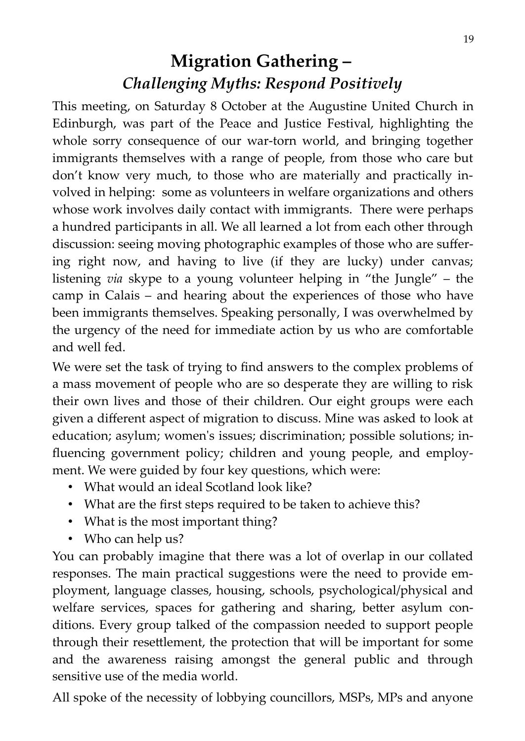# **Migration Gathering –**  *Challenging Myths: Respond Positively*

This meeting, on Saturday 8 October at the Augustine United Church in Edinburgh, was part of the Peace and Justice Festival, highlighting the whole sorry consequence of our war-torn world, and bringing together immigrants themselves with a range of people, from those who care but don't know very much, to those who are materially and practically involved in helping: some as volunteers in welfare organizations and others whose work involves daily contact with immigrants. There were perhaps a hundred participants in all. We all learned a lot from each other through discussion: seeing moving photographic examples of those who are suffering right now, and having to live (if they are lucky) under canvas; listening *via* skype to a young volunteer helping in "the Jungle" – the camp in Calais – and hearing about the experiences of those who have been immigrants themselves. Speaking personally, I was overwhelmed by the urgency of the need for immediate action by us who are comfortable and well fed.

We were set the task of trying to find answers to the complex problems of a mass movement of people who are so desperate they are willing to risk their own lives and those of their children. Our eight groups were each given a different aspect of migration to discuss. Mine was asked to look at education; asylum; women's issues; discrimination; possible solutions; influencing government policy; children and young people, and employment. We were guided by four key questions, which were:

- What would an ideal Scotland look like?
- What are the first steps required to be taken to achieve this?
- What is the most important thing?
- Who can help us?

You can probably imagine that there was a lot of overlap in our collated responses. The main practical suggestions were the need to provide employment, language classes, housing, schools, psychological/physical and welfare services, spaces for gathering and sharing, better asylum conditions. Every group talked of the compassion needed to support people through their resettlement, the protection that will be important for some and the awareness raising amongst the general public and through sensitive use of the media world.

All spoke of the necessity of lobbying councillors, MSPs, MPs and anyone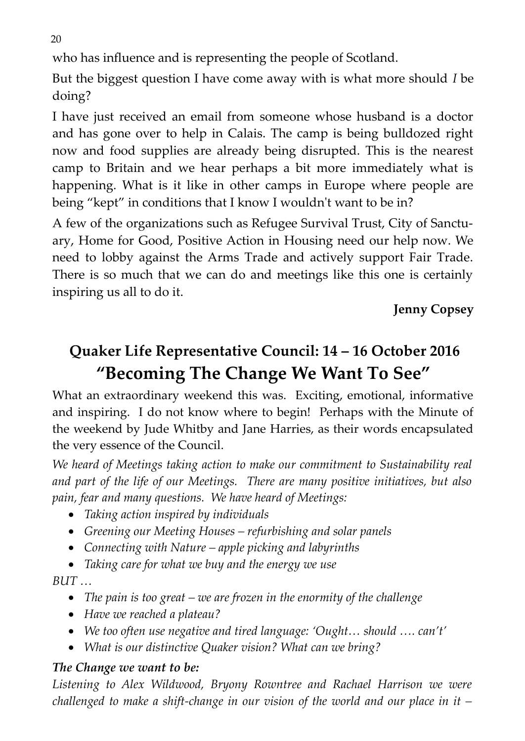who has influence and is representing the people of Scotland.

But the biggest question I have come away with is what more should *I* be doing?

I have just received an email from someone whose husband is a doctor and has gone over to help in Calais. The camp is being bulldozed right now and food supplies are already being disrupted. This is the nearest camp to Britain and we hear perhaps a bit more immediately what is happening. What is it like in other camps in Europe where people are being "kept" in conditions that I know I wouldn't want to be in?

A few of the organizations such as Refugee Survival Trust, City of Sanctuary, Home for Good, Positive Action in Housing need our help now. We need to lobby against the Arms Trade and actively support Fair Trade. There is so much that we can do and meetings like this one is certainly inspiring us all to do it.

**Jenny Copsey**

# **Quaker Life Representative Council: 14 – 16 October 2016 "Becoming The Change We Want To See"**

What an extraordinary weekend this was. Exciting, emotional, informative and inspiring. I do not know where to begin! Perhaps with the Minute of the weekend by Jude Whitby and Jane Harries, as their words encapsulated the very essence of the Council.

*We heard of Meetings taking action to make our commitment to Sustainability real and part of the life of our Meetings. There are many positive initiatives, but also pain, fear and many questions. We have heard of Meetings:*

- *Taking action inspired by individuals*
- *Greening our Meeting Houses refurbishing and solar panels*
- *Connecting with Nature apple picking and labyrinths*
- *Taking care for what we buy and the energy we use*

*BUT …* 

- *The pain is too great we are frozen in the enormity of the challenge*
- *Have we reached a plateau?*
- *We too often use negative and tired language: 'Ought… should …. can't'*
- *What is our distinctive Quaker vision? What can we bring?*

#### *The Change we want to be:*

*Listening to Alex Wildwood, Bryony Rowntree and Rachael Harrison we were challenged to make a shift-change in our vision of the world and our place in it –*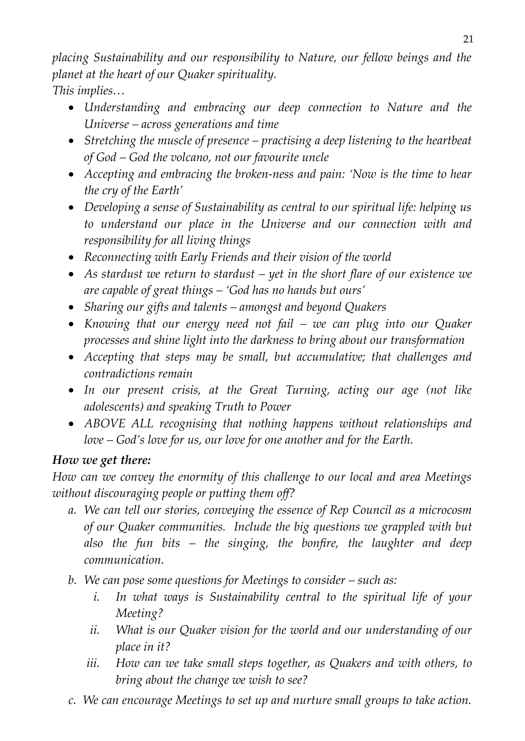*placing Sustainability and our responsibility to Nature, our fellow beings and the planet at the heart of our Quaker spirituality. This implies…*

- *Understanding and embracing our deep connection to Nature and the Universe – across generations and time*
- *Stretching the muscle of presence practising a deep listening to the heartbeat of God – God the volcano, not our favourite uncle*
- *Accepting and embracing the broken-ness and pain: 'Now is the time to hear the cry of the Earth'*
- *Developing a sense of Sustainability as central to our spiritual life: helping us to understand our place in the Universe and our connection with and responsibility for all living things*
- *Reconnecting with Early Friends and their vision of the world*
- *As stardust we return to stardust yet in the short flare of our existence we are capable of great things – 'God has no hands but ours'*
- *Sharing our gifts and talents amongst and beyond Quakers*
- *Knowing that our energy need not fail we can plug into our Quaker processes and shine light into the darkness to bring about our transformation*
- *Accepting that steps may be small, but accumulative; that challenges and contradictions remain*
- *In our present crisis, at the Great Turning, acting our age (not like adolescents) and speaking Truth to Power*
- *ABOVE ALL recognising that nothing happens without relationships and love – God's love for us, our love for one another and for the Earth.*

#### *How we get there:*

*How can we convey the enormity of this challenge to our local and area Meetings without discouraging people or putting them off?* 

- *a. We can tell our stories, conveying the essence of Rep Council as a microcosm of our Quaker communities. Include the big questions we grappled with but also the fun bits – the singing, the bonfire, the laughter and deep communication.*
- *b. We can pose some questions for Meetings to consider such as:*
	- *i. In what ways is Sustainability central to the spiritual life of your Meeting?*
	- *ii. What is our Quaker vision for the world and our understanding of our place in it?*
	- *iii. How can we take small steps together, as Quakers and with others, to bring about the change we wish to see?*
- *c. We can encourage Meetings to set up and nurture small groups to take action.*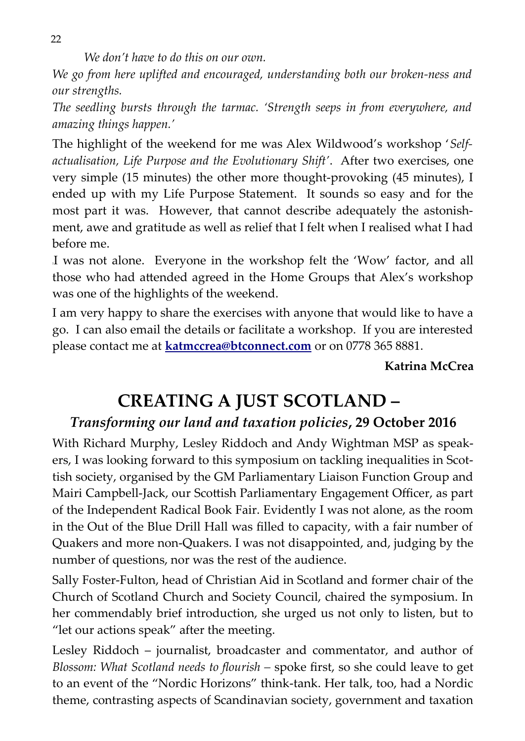*We don't have to do this on our own.*

*We go from here uplifted and encouraged, understanding both our broken-ness and our strengths.*

*The seedling bursts through the tarmac. 'Strength seeps in from everywhere, and amazing things happen.'*

The highlight of the weekend for me was Alex Wildwood's workshop '*Selfactualisation, Life Purpose and the Evolutionary Shift'*. After two exercises, one very simple (15 minutes) the other more thought-provoking (45 minutes), I ended up with my Life Purpose Statement. It sounds so easy and for the most part it was. However, that cannot describe adequately the astonishment, awe and gratitude as well as relief that I felt when I realised what I had before me.

<sup>2</sup>I was not alone. Everyone in the workshop felt the 'Wow' factor, and all those who had attended agreed in the Home Groups that Alex's workshop was one of the highlights of the weekend.

I am very happy to share the exercises with anyone that would like to have a go. I can also email the details or facilitate a workshop. If you are interested please contact me at **[katmccrea@btconnect.com](mailto:katmccrea@btconnect.com)** or on 0778 365 8881.

#### **Katrina McCrea**

# **CREATING A JUST SCOTLAND –**

#### *Transforming our land and taxation policies***, 29 October 2016**

With Richard Murphy, Lesley Riddoch and Andy Wightman MSP as speakers, I was looking forward to this symposium on tackling inequalities in Scottish society, organised by the GM Parliamentary Liaison Function Group and Mairi Campbell-Jack, our Scottish Parliamentary Engagement Officer, as part of the Independent Radical Book Fair. Evidently I was not alone, as the room in the Out of the Blue Drill Hall was filled to capacity, with a fair number of Quakers and more non-Quakers. I was not disappointed, and, judging by the number of questions, nor was the rest of the audience.

Sally Foster-Fulton, head of Christian Aid in Scotland and former chair of the Church of Scotland Church and Society Council, chaired the symposium. In her commendably brief introduction, she urged us not only to listen, but to "let our actions speak" after the meeting.

Lesley Riddoch – journalist, broadcaster and commentator, and author of *Blossom: What Scotland needs to flourish –* spoke first, so she could leave to get to an event of the "Nordic Horizons" think-tank. Her talk, too, had a Nordic theme, contrasting aspects of Scandinavian society, government and taxation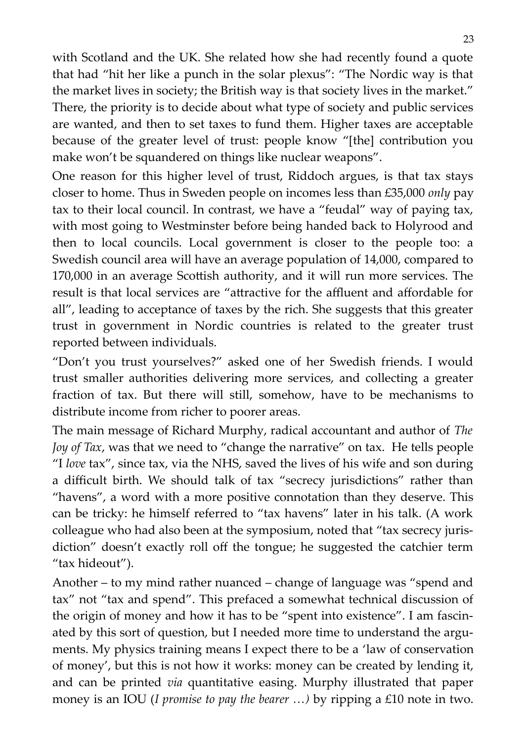with Scotland and the UK. She related how she had recently found a quote that had "hit her like a punch in the solar plexus": "The Nordic way is that the market lives in society; the British way is that society lives in the market." There, the priority is to decide about what type of society and public services are wanted, and then to set taxes to fund them. Higher taxes are acceptable because of the greater level of trust: people know "[the] contribution you make won't be squandered on things like nuclear weapons".

One reason for this higher level of trust, Riddoch argues, is that tax stays closer to home. Thus in Sweden people on incomes less than £35,000 *only* pay tax to their local council. In contrast, we have a "feudal" way of paying tax, with most going to Westminster before being handed back to Holyrood and then to local councils. Local government is closer to the people too: a Swedish council area will have an average population of 14,000, compared to 170,000 in an average Scottish authority, and it will run more services. The result is that local services are "attractive for the affluent and affordable for all", leading to acceptance of taxes by the rich. She suggests that this greater trust in government in Nordic countries is related to the greater trust reported between individuals.

"Don't you trust yourselves?" asked one of her Swedish friends. I would trust smaller authorities delivering more services, and collecting a greater fraction of tax. But there will still, somehow, have to be mechanisms to distribute income from richer to poorer areas.

The main message of Richard Murphy, radical accountant and author of *The Joy of Tax*, was that we need to "change the narrative" on tax. He tells people "I *love* tax", since tax, via the NHS, saved the lives of his wife and son during a difficult birth. We should talk of tax "secrecy jurisdictions" rather than "havens", a word with a more positive connotation than they deserve. This can be tricky: he himself referred to "tax havens" later in his talk. (A work colleague who had also been at the symposium, noted that "tax secrecy jurisdiction" doesn't exactly roll off the tongue; he suggested the catchier term "tax hideout").

Another – to my mind rather nuanced – change of language was "spend and tax" not "tax and spend". This prefaced a somewhat technical discussion of the origin of money and how it has to be "spent into existence". I am fascinated by this sort of question, but I needed more time to understand the arguments. My physics training means I expect there to be a 'law of conservation of money', but this is not how it works: money can be created by lending it, and can be printed *via* quantitative easing. Murphy illustrated that paper money is an IOU (*I promise to pay the bearer …)* by ripping a £10 note in two.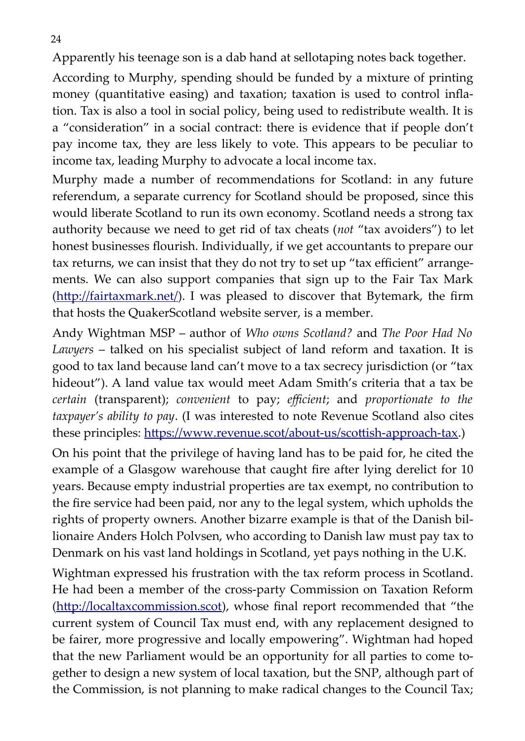Apparently his teenage son is a dab hand at sellotaping notes back together.

According to Murphy, spending should be funded by a mixture of printing money (quantitative easing) and taxation; taxation is used to control inflation. Tax is also a tool in social policy, being used to redistribute wealth. It is a "consideration" in a social contract: there is evidence that if people don't pay income tax, they are less likely to vote. This appears to be peculiar to income tax, leading Murphy to advocate a local income tax.

Murphy made a number of recommendations for Scotland: in any future referendum, a separate currency for Scotland should be proposed, since this would liberate Scotland to run its own economy. Scotland needs a strong tax authority because we need to get rid of tax cheats (*not* "tax avoiders") to let honest businesses flourish. Individually, if we get accountants to prepare our tax returns, we can insist that they do not try to set up "tax efficient" arrangements. We can also support companies that sign up to the Fair Tax Mark [\(http://fairtaxmark.net/\)](http://fairtaxmark.net/). I was pleased to discover that Bytemark, the firm that hosts the QuakerScotland website server, is a member.

Andy Wightman MSP – author of *Who owns Scotland?* and *The Poor Had No Lawyers* – talked on his specialist subject of land reform and taxation. It is good to tax land because land can't move to a tax secrecy jurisdiction (or "tax hideout"). A land value tax would meet Adam Smith's criteria that a tax be *certain* (transparent); *convenient* to pay; *efficient*; and *proportionate to the taxpayer's ability to pay*. (I was interested to note Revenue Scotland also cites these principles: [https://www.revenue.scot/about-us/scottish-approach-tax.](https://www.revenue.scot/about-us/scottish-approach-tax))

On his point that the privilege of having land has to be paid for, he cited the example of a Glasgow warehouse that caught fire after lying derelict for 10 years. Because empty industrial properties are tax exempt, no contribution to the fire service had been paid, nor any to the legal system, which upholds the rights of property owners. Another bizarre example is that of the Danish billionaire Anders Holch Polvsen, who according to Danish law must pay tax to Denmark on his vast land holdings in Scotland, yet pays nothing in the U.K.

Wightman expressed his frustration with the tax reform process in Scotland. He had been a member of the cross-party Commission on Taxation Reform [\(http://localtaxcommission.scot\)](http://localtaxcommission.scot/), whose final report recommended that "the current system of Council Tax must end, with any replacement designed to be fairer, more progressive and locally empowering". Wightman had hoped that the new Parliament would be an opportunity for all parties to come together to design a new system of local taxation, but the SNP, although part of the Commission, is not planning to make radical changes to the Council Tax;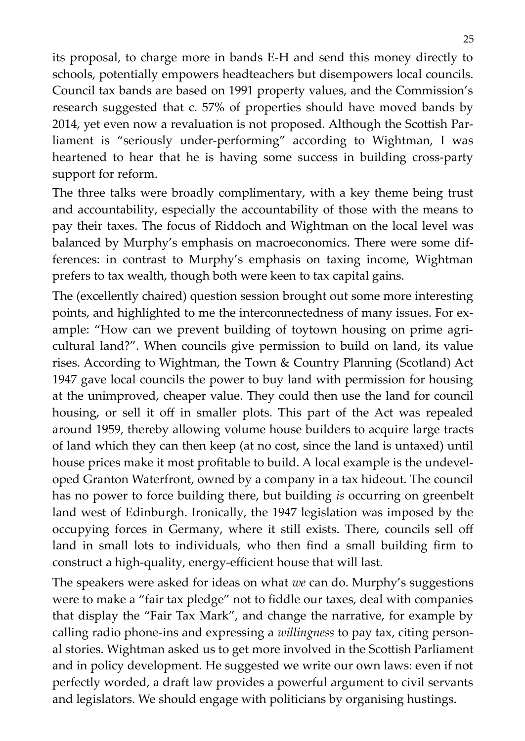its proposal, to charge more in bands E-H and send this money directly to schools, potentially empowers headteachers but disempowers local councils. Council tax bands are based on 1991 property values, and the Commission's research suggested that c. 57% of properties should have moved bands by 2014, yet even now a revaluation is not proposed. Although the Scottish Parliament is "seriously under-performing" according to Wightman, I was heartened to hear that he is having some success in building cross-party support for reform.

The three talks were broadly complimentary, with a key theme being trust and accountability, especially the accountability of those with the means to pay their taxes. The focus of Riddoch and Wightman on the local level was balanced by Murphy's emphasis on macroeconomics. There were some differences: in contrast to Murphy's emphasis on taxing income, Wightman prefers to tax wealth, though both were keen to tax capital gains.

The (excellently chaired) question session brought out some more interesting points, and highlighted to me the interconnectedness of many issues. For example: "How can we prevent building of toytown housing on prime agricultural land?". When councils give permission to build on land, its value rises. According to Wightman, the Town & Country Planning (Scotland) Act 1947 gave local councils the power to buy land with permission for housing at the unimproved, cheaper value. They could then use the land for council housing, or sell it off in smaller plots. This part of the Act was repealed around 1959, thereby allowing volume house builders to acquire large tracts of land which they can then keep (at no cost, since the land is untaxed) until house prices make it most profitable to build. A local example is the undeveloped Granton Waterfront, owned by a company in a tax hideout. The council has no power to force building there, but building *is* occurring on greenbelt land west of Edinburgh. Ironically, the 1947 legislation was imposed by the occupying forces in Germany, where it still exists. There, councils sell off land in small lots to individuals, who then find a small building firm to construct a high-quality, energy-efficient house that will last.

The speakers were asked for ideas on what *we* can do. Murphy's suggestions were to make a "fair tax pledge" not to fiddle our taxes, deal with companies that display the "Fair Tax Mark", and change the narrative, for example by calling radio phone-ins and expressing a *willingness* to pay tax, citing personal stories. Wightman asked us to get more involved in the Scottish Parliament and in policy development. He suggested we write our own laws: even if not perfectly worded, a draft law provides a powerful argument to civil servants and legislators. We should engage with politicians by organising hustings.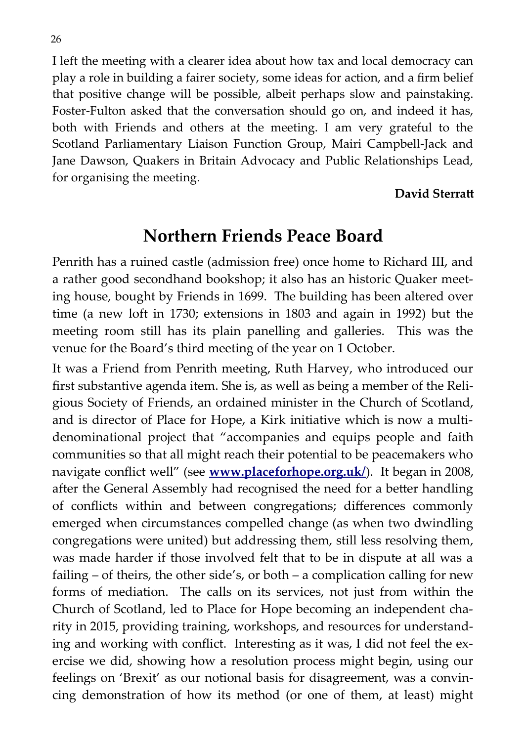I left the meeting with a clearer idea about how tax and local democracy can play a role in building a fairer society, some ideas for action, and a firm belief that positive change will be possible, albeit perhaps slow and painstaking. Foster-Fulton asked that the conversation should go on, and indeed it has, both with Friends and others at the meeting. I am very grateful to the Scotland Parliamentary Liaison Function Group, Mairi Campbell-Jack and Jane Dawson, Quakers in Britain Advocacy and Public Relationships Lead, for organising the meeting.

#### **David Sterratt**

#### **Northern Friends Peace Board**

Penrith has a ruined castle (admission free) once home to Richard III, and a rather good secondhand bookshop; it also has an historic Quaker meeting house, bought by Friends in 1699. The building has been altered over time (a new loft in 1730; extensions in 1803 and again in 1992) but the meeting room still has its plain panelling and galleries. This was the venue for the Board's third meeting of the year on 1 October.

It was a Friend from Penrith meeting, Ruth Harvey, who introduced our first substantive agenda item. She is, as well as being a member of the Religious Society of Friends, an ordained minister in the Church of Scotland, and is director of Place for Hope, a Kirk initiative which is now a multidenominational project that "accompanies and equips people and faith communities so that all might reach their potential to be peacemakers who navigate conflict well" (see **[www.placeforhope.org.uk/](http://www.placeforhope.org.uk/)**). It began in 2008, after the General Assembly had recognised the need for a better handling of conflicts within and between congregations; differences commonly emerged when circumstances compelled change (as when two dwindling congregations were united) but addressing them, still less resolving them, was made harder if those involved felt that to be in dispute at all was a failing – of theirs, the other side's, or both – a complication calling for new forms of mediation. The calls on its services, not just from within the Church of Scotland, led to Place for Hope becoming an independent charity in 2015, providing training, workshops, and resources for understanding and working with conflict. Interesting as it was, I did not feel the exercise we did, showing how a resolution process might begin, using our feelings on 'Brexit' as our notional basis for disagreement, was a convincing demonstration of how its method (or one of them, at least) might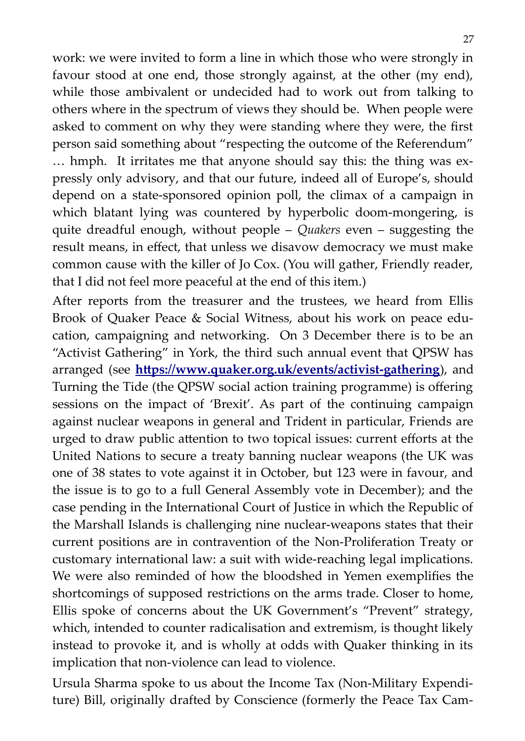work: we were invited to form a line in which those who were strongly in favour stood at one end, those strongly against, at the other (my end), while those ambivalent or undecided had to work out from talking to others where in the spectrum of views they should be. When people were asked to comment on why they were standing where they were, the first person said something about "respecting the outcome of the Referendum" … hmph. It irritates me that anyone should say this: the thing was expressly only advisory, and that our future, indeed all of Europe's, should depend on a state-sponsored opinion poll, the climax of a campaign in which blatant lying was countered by hyperbolic doom-mongering, is quite dreadful enough, without people – *Quakers* even – suggesting the result means, in effect, that unless we disavow democracy we must make common cause with the killer of Jo Cox. (You will gather, Friendly reader, that I did not feel more peaceful at the end of this item.)

After reports from the treasurer and the trustees, we heard from Ellis Brook of Quaker Peace & Social Witness, about his work on peace education, campaigning and networking. On 3 December there is to be an "Activist Gathering" in York, the third such annual event that QPSW has arranged (see **<https://www.quaker.org.uk/events/activist-gathering>**), and Turning the Tide (the QPSW social action training programme) is offering sessions on the impact of 'Brexit'. As part of the continuing campaign against nuclear weapons in general and Trident in particular, Friends are urged to draw public attention to two topical issues: current efforts at the United Nations to secure a treaty banning nuclear weapons (the UK was one of 38 states to vote against it in October, but 123 were in favour, and the issue is to go to a full General Assembly vote in December); and the case pending in the International Court of Justice in which the Republic of the Marshall Islands is challenging nine nuclear-weapons states that their current positions are in contravention of the Non-Proliferation Treaty or customary international law: a suit with wide-reaching legal implications. We were also reminded of how the bloodshed in Yemen exemplifies the shortcomings of supposed restrictions on the arms trade. Closer to home, Ellis spoke of concerns about the UK Government's "Prevent" strategy, which, intended to counter radicalisation and extremism, is thought likely instead to provoke it, and is wholly at odds with Quaker thinking in its implication that non-violence can lead to violence.

Ursula Sharma spoke to us about the Income Tax (Non-Military Expenditure) Bill, originally drafted by Conscience (formerly the Peace Tax Cam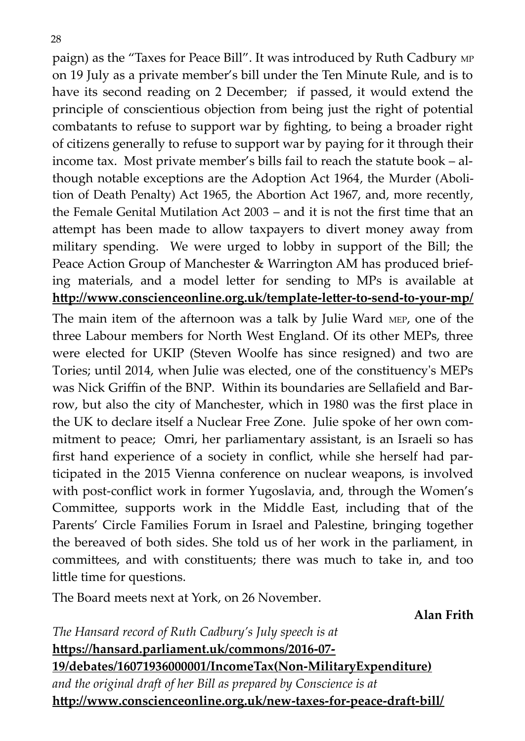paign) as the "Taxes for Peace Bill". It was introduced by Ruth Cadbury MP on 19 July as a private member's bill under the Ten Minute Rule, and is to have its second reading on 2 December; if passed, it would extend the principle of conscientious objection from being just the right of potential combatants to refuse to support war by fighting, to being a broader right of citizens generally to refuse to support war by paying for it through their income tax. Most private member's bills fail to reach the statute book – although notable exceptions are the Adoption Act 1964, the [Murder \(Aboli](https://en.wikipedia.org/wiki/Murder_(Abolition_of_Death_Penalty)_Act_1965)[tion of Death Penalty\) Act 1965,](https://en.wikipedia.org/wiki/Murder_(Abolition_of_Death_Penalty)_Act_1965) the Abortion Act 1967, and, more recently, the Female Genital Mutilation Act 2003 – and it is not the first time that an attempt has been made to allow taxpayers to divert money away from military spending. We were urged to lobby in support of the Bill; the Peace Action Group of Manchester & Warrington AM has produced briefing materials, and a model letter for sending to MPs is available at **http://www.conscienceonline.org.uk/template-letter-to-send-to-your-mp/**

The main item of the afternoon was a talk by Julie Ward MEP, one of the three Labour members for North West England. Of its other MEPs, three were elected for UKIP (Steven Woolfe has since resigned) and two are Tories; until 2014, when Julie was elected, one of the constituency's MEPs was Nick Griffin of the BNP. Within its boundaries are Sellafield and Barrow, but also the city of Manchester, which in 1980 was the first place in the UK to declare itself a Nuclear Free Zone. Julie spoke of her own commitment to peace; Omri, her parliamentary assistant, is an Israeli so has first hand experience of a society in conflict, while she herself had participated in the 2015 Vienna conference on nuclear weapons, is involved with post-conflict work in former Yugoslavia, and, through the Women's Committee, supports work in the Middle East, including that of the Parents' Circle Families Forum in Israel and Palestine, bringing together the bereaved of both sides. She told us of her work in the parliament, in committees, and with constituents; there was much to take in, and too little time for questions.

The Board meets next at York, on 26 November.

**Alan Frith**

*The Hansard record of Ruth Cadbury's July speech is at*  **https://hansard.parliament.uk/commons/2016-07- 19/debates/16071936000001/IncomeTax(Non-MilitaryExpenditure)** *and the original draft of her Bill as prepared by Conscience is at* **http://www.conscienceonline.org.uk/new-taxes-for-peace-draft-bill/**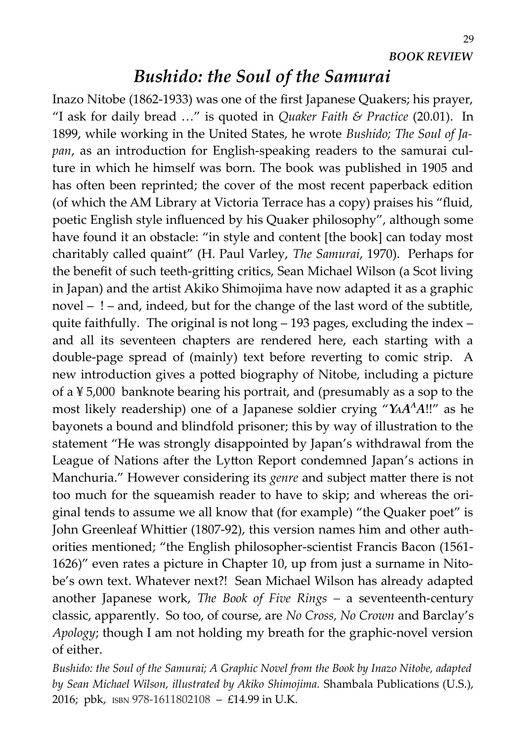29

#### *Bushido: the Soul of the Samurai*

Inazo Nitobe (1862-1933) was one of the first Japanese Quakers; his prayer, "I ask for daily bread …" is quoted in *Quaker Faith & Practice* (20.01). In 1899, while working in the United States, he wrote *Bushido; The Soul of Japan*, as an introduction for English-speaking readers to the samurai culture in which he himself was born. The book was published in 1905 and has often been reprinted; the cover of the most recent paperback edition (of which the AM Library at Victoria Terrace has a copy) praises his "fluid, poetic English style influenced by his Quaker philosophy", although some have found it an obstacle: "in style and content [the book] can today most charitably called quaint" (H. Paul Varley, *The Samurai*, 1970). Perhaps for the benefit of such teeth-gritting critics, Sean Michael Wilson (a Scot living in Japan) and the artist Akiko Shimojima have now adapted it as a graphic novel – ! – and, indeed, but for the change of the last word of the subtitle, quite faithfully. The original is not long – 193 pages, excluding the index – and all its seventeen chapters are rendered here, each starting with a double-page spread of (mainly) text before reverting to comic strip. A new introduction gives a potted biography of Nitobe, including a picture of a ¥ 5,000 banknote bearing his portrait, and (presumably as a sop to the most likely readership) one of a Japanese soldier crying "*YAA <sup>A</sup>A*!!" as he bayonets a bound and blindfold prisoner; this by way of illustration to the statement "He was strongly disappointed by Japan's withdrawal from the League of Nations after the Lytton Report condemned Japan's actions in Manchuria." However considering its *genre* and subject matter there is not too much for the squeamish reader to have to skip; and whereas the original tends to assume we all know that (for example) "the Quaker poet" is John Greenleaf Whittier (1807-92), this version names him and other authorities mentioned; "the English philosopher-scientist Francis Bacon (1561- 1626)" even rates a picture in Chapter 10, up from just a surname in Nitobe's own text. Whatever next?! Sean Michael Wilson has already adapted another Japanese work, *The Book of Five Rings –* a seventeenth-century classic, apparently. So too, of course, are *No Cross, No Crown* and Barclay's *Apology*; though I am not holding my breath for the graphic-novel version of either.

*Bushido: the Soul of the Samurai; A Graphic Novel from the Book by Inazo Nitobe, adapted by Sean Michael Wilson, illustrated by Akiko Shimojima.* Shambala Publications (U.S.), 2016; pbk, ISBN 978-1611802108 – £14.99 in U.K.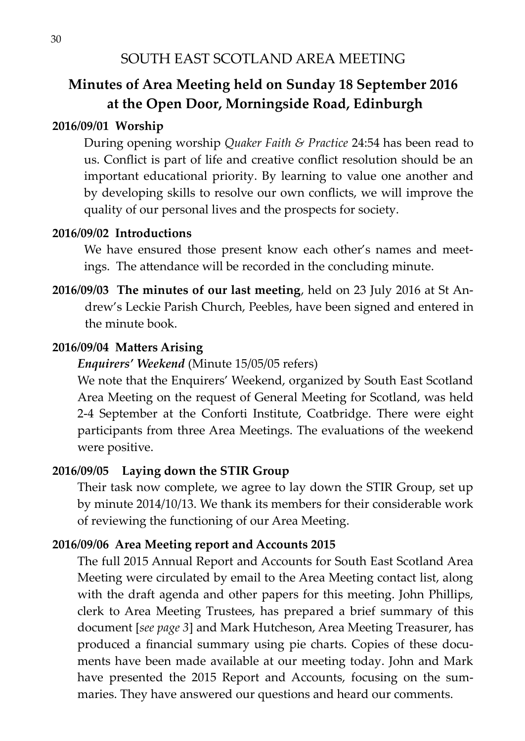#### **Minutes of Area Meeting held on Sunday 18 September 2016 at the Open Door, Morningside Road, Edinburgh**

#### **2016/09/01 Worship**

During opening worship *Quaker Faith & Practice* 24:54 has been read to us. Conflict is part of life and creative conflict resolution should be an important educational priority. By learning to value one another and by developing skills to resolve our own conflicts, we will improve the quality of our personal lives and the prospects for society.

#### **2016/09/02 Introductions**

We have ensured those present know each other's names and meetings. The attendance will be recorded in the concluding minute.

**2016/09/03 The minutes of our last meeting**, held on 23 July 2016 at St Andrew's Leckie Parish Church, Peebles, have been signed and entered in the minute book.

#### **2016/09/04 Matters Arising**

#### *Enquirers' Weekend* (Minute 15/05/05 refers)

We note that the Enquirers' Weekend, organized by South East Scotland Area Meeting on the request of General Meeting for Scotland, was held 2-4 September at the Conforti Institute, Coatbridge. There were eight participants from three Area Meetings. The evaluations of the weekend were positive.

#### **2016/09/05 Laying down the STIR Group**

Their task now complete, we agree to lay down the STIR Group, set up by minute 2014/10/13. We thank its members for their considerable work of reviewing the functioning of our Area Meeting.

#### **2016/09/06 Area Meeting report and Accounts 2015**

The full 2015 Annual Report and Accounts for South East Scotland Area Meeting were circulated by email to the Area Meeting contact list, along with the draft agenda and other papers for this meeting. John Phillips, clerk to Area Meeting Trustees, has prepared a brief summary of this document [*see page 3*] and Mark Hutcheson, Area Meeting Treasurer, has produced a financial summary using pie charts. Copies of these documents have been made available at our meeting today. John and Mark have presented the 2015 Report and Accounts, focusing on the summaries. They have answered our questions and heard our comments.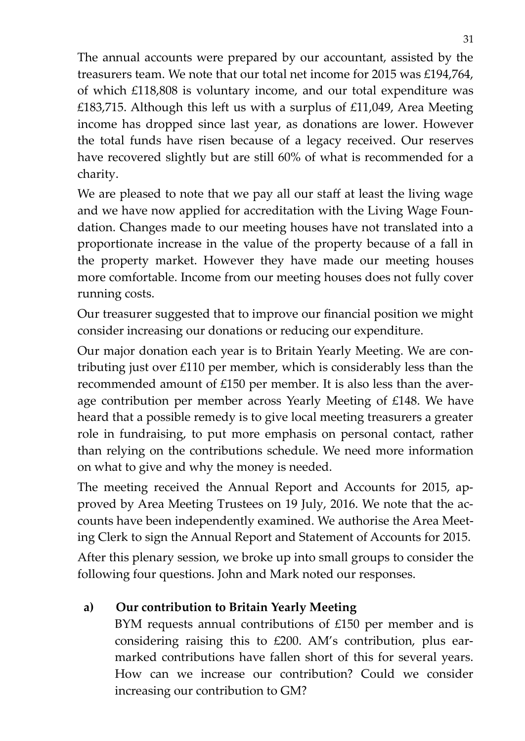The annual accounts were prepared by our accountant, assisted by the treasurers team. We note that our total net income for 2015 was £194,764, of which £118,808 is voluntary income, and our total expenditure was £183,715. Although this left us with a surplus of £11,049, Area Meeting income has dropped since last year, as donations are lower. However the total funds have risen because of a legacy received. Our reserves have recovered slightly but are still 60% of what is recommended for a charity.

We are pleased to note that we pay all our staff at least the living wage and we have now applied for accreditation with the Living Wage Foundation. Changes made to our meeting houses have not translated into a proportionate increase in the value of the property because of a fall in the property market. However they have made our meeting houses more comfortable. Income from our meeting houses does not fully cover running costs.

Our treasurer suggested that to improve our financial position we might consider increasing our donations or reducing our expenditure.

Our major donation each year is to Britain Yearly Meeting. We are contributing just over £110 per member, which is considerably less than the recommended amount of £150 per member. It is also less than the average contribution per member across Yearly Meeting of £148. We have heard that a possible remedy is to give local meeting treasurers a greater role in fundraising, to put more emphasis on personal contact, rather than relying on the contributions schedule. We need more information on what to give and why the money is needed.

The meeting received the Annual Report and Accounts for 2015, approved by Area Meeting Trustees on 19 July, 2016. We note that the accounts have been independently examined. We authorise the Area Meeting Clerk to sign the Annual Report and Statement of Accounts for 2015.

After this plenary session, we broke up into small groups to consider the following four questions. John and Mark noted our responses.

#### **a) Our contribution to Britain Yearly Meeting**

BYM requests annual contributions of £150 per member and is considering raising this to £200. AM's contribution, plus earmarked contributions have fallen short of this for several years. How can we increase our contribution? Could we consider increasing our contribution to GM?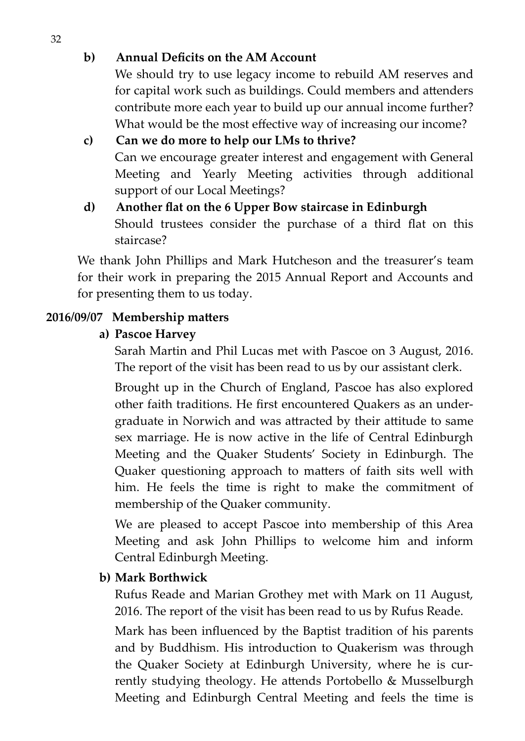#### **b) Annual Deficits on the AM Account**

We should try to use legacy income to rebuild AM reserves and for capital work such as buildings. Could members and attenders contribute more each year to build up our annual income further? What would be the most effective way of increasing our income?

**c) Can we do more to help our LMs to thrive?** Can we encourage greater interest and engagement with General Meeting and Yearly Meeting activities through additional support of our Local Meetings?

#### **d) Another flat on the 6 Upper Bow staircase in Edinburgh** Should trustees consider the purchase of a third flat on this staircase?

We thank John Phillips and Mark Hutcheson and the treasurer's team for their work in preparing the 2015 Annual Report and Accounts and for presenting them to us today.

#### **2016/09/07 Membership matters**

#### **a) Pascoe Harvey**

Sarah Martin and Phil Lucas met with Pascoe on 3 August, 2016. The report of the visit has been read to us by our assistant clerk.

Brought up in the Church of England, Pascoe has also explored other faith traditions. He first encountered Quakers as an undergraduate in Norwich and was attracted by their attitude to same sex marriage. He is now active in the life of Central Edinburgh Meeting and the Quaker Students' Society in Edinburgh. The Quaker questioning approach to matters of faith sits well with him. He feels the time is right to make the commitment of membership of the Quaker community.

We are pleased to accept Pascoe into membership of this Area Meeting and ask John Phillips to welcome him and inform Central Edinburgh Meeting.

#### **b) Mark Borthwick**

Rufus Reade and Marian Grothey met with Mark on 11 August, 2016. The report of the visit has been read to us by Rufus Reade.

Mark has been influenced by the Baptist tradition of his parents and by Buddhism. His introduction to Quakerism was through the Quaker Society at Edinburgh University, where he is currently studying theology. He attends Portobello & Musselburgh Meeting and Edinburgh Central Meeting and feels the time is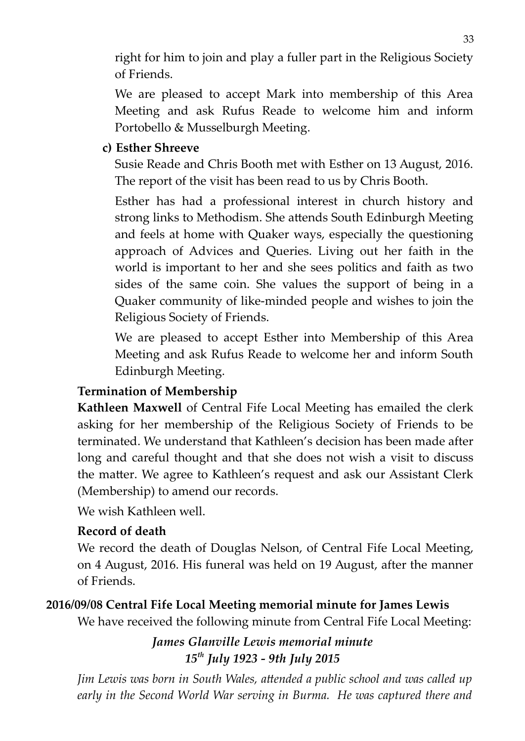right for him to join and play a fuller part in the Religious Society of Friends.

We are pleased to accept Mark into membership of this Area Meeting and ask Rufus Reade to welcome him and inform Portobello & Musselburgh Meeting.

#### **c) Esther Shreeve**

Susie Reade and Chris Booth met with Esther on 13 August, 2016. The report of the visit has been read to us by Chris Booth.

Esther has had a professional interest in church history and strong links to Methodism. She attends South Edinburgh Meeting and feels at home with Quaker ways, especially the questioning approach of Advices and Queries. Living out her faith in the world is important to her and she sees politics and faith as two sides of the same coin. She values the support of being in a Quaker community of like-minded people and wishes to join the Religious Society of Friends.

We are pleased to accept Esther into Membership of this Area Meeting and ask Rufus Reade to welcome her and inform South Edinburgh Meeting.

#### **Termination of Membership**

**Kathleen Maxwell** of Central Fife Local Meeting has emailed the clerk asking for her membership of the Religious Society of Friends to be terminated. We understand that Kathleen's decision has been made after long and careful thought and that she does not wish a visit to discuss the matter. We agree to Kathleen's request and ask our Assistant Clerk (Membership) to amend our records.

We wish Kathleen well.

#### **Record of death**

We record the death of Douglas Nelson, of Central Fife Local Meeting, on 4 August, 2016. His funeral was held on 19 August, after the manner of Friends.

#### **2016/09/08 Central Fife Local Meeting memorial minute for James Lewis**

We have received the following minute from Central Fife Local Meeting:

#### *James Glanville Lewis memorial minute 15th July 1923 - 9th July 2015*

*Jim Lewis was born in South Wales, attended a public school and was called up early in the Second World War serving in Burma. He was captured there and*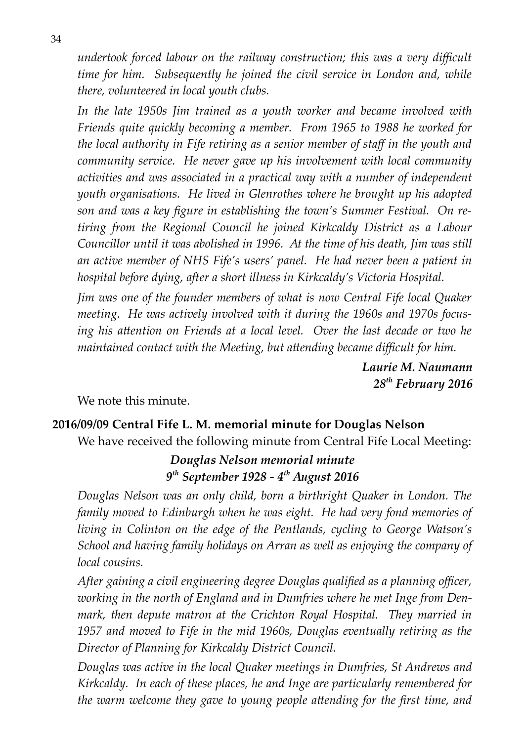*undertook forced labour on the railway construction; this was a very difficult time for him. Subsequently he joined the civil service in London and, while there, volunteered in local youth clubs.*

*In the late 1950s Jim trained as a youth worker and became involved with Friends quite quickly becoming a member. From 1965 to 1988 he worked for the local authority in Fife retiring as a senior member of staff in the youth and community service. He never gave up his involvement with local community activities and was associated in a practical way with a number of independent youth organisations. He lived in Glenrothes where he brought up his adopted son and was a key figure in establishing the town's Summer Festival. On retiring from the Regional Council he joined Kirkcaldy District as a Labour Councillor until it was abolished in 1996. At the time of his death, Jim was still an active member of NHS Fife's users' panel. He had never been a patient in hospital before dying, after a short illness in Kirkcaldy's Victoria Hospital.*

*Jim was one of the founder members of what is now Central Fife local Quaker meeting. He was actively involved with it during the 1960s and 1970s focusing his attention on Friends at a local level. Over the last decade or two he maintained contact with the Meeting, but attending became difficult for him.*

> *Laurie M. Naumann 28th February 2016*

We note this minute.

#### **2016/09/09 Central Fife L. M. memorial minute for Douglas Nelson**

We have received the following minute from Central Fife Local Meeting:

#### *Douglas Nelson memorial minute 9 th September 1928 - 4th August 2016*

*Douglas Nelson was an only child, born a birthright Quaker in London. The family moved to Edinburgh when he was eight. He had very fond memories of living in Colinton on the edge of the Pentlands, cycling to George Watson's School and having family holidays on Arran as well as enjoying the company of local cousins.* 

*After gaining a civil engineering degree Douglas qualified as a planning officer, working in the north of England and in Dumfries where he met Inge from Denmark, then depute matron at the Crichton Royal Hospital. They married in 1957 and moved to Fife in the mid 1960s, Douglas eventually retiring as the Director of Planning for Kirkcaldy District Council.* 

*Douglas was active in the local Quaker meetings in Dumfries, St Andrews and Kirkcaldy. In each of these places, he and Inge are particularly remembered for the warm welcome they gave to young people attending for the first time, and*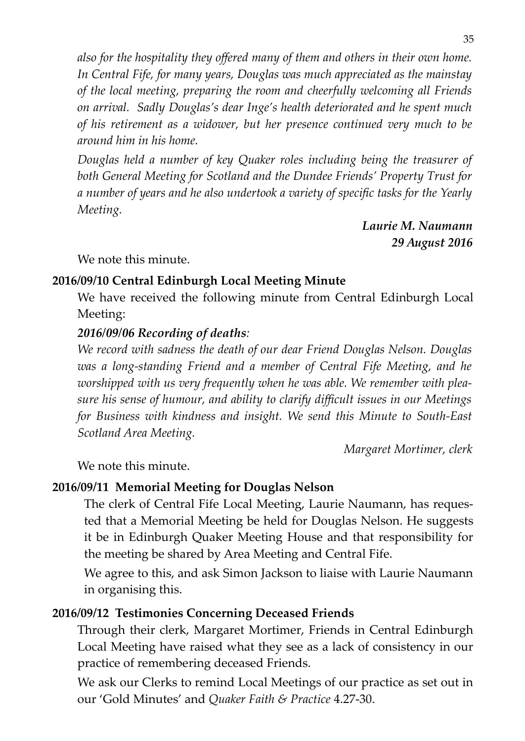*also for the hospitality they offered many of them and others in their own home. In Central Fife, for many years, Douglas was much appreciated as the mainstay of the local meeting, preparing the room and cheerfully welcoming all Friends on arrival. Sadly Douglas's dear Inge's health deteriorated and he spent much of his retirement as a widower, but her presence continued very much to be around him in his home.*

*Douglas held a number of key Quaker roles including being the treasurer of both General Meeting for Scotland and the Dundee Friends' Property Trust for a number of years and he also undertook a variety of specific tasks for the Yearly Meeting.*

> *Laurie M. Naumann 29 August 2016*

We note this minute.

#### **2016/09/10 Central Edinburgh Local Meeting Minute**

We have received the following minute from Central Edinburgh Local Meeting:

#### *2016/09/06 Recording of deaths:*

*We record with sadness the death of our dear Friend Douglas Nelson. Douglas was a long-standing Friend and a member of Central Fife Meeting, and he worshipped with us very frequently when he was able. We remember with pleasure his sense of humour, and ability to clarify difficult issues in our Meetings for Business with kindness and insight. We send this Minute to South-East Scotland Area Meeting.*

*Margaret Mortimer, clerk*

We note this minute.

#### **2016/09/11 Memorial Meeting for Douglas Nelson**

The clerk of Central Fife Local Meeting, Laurie Naumann, has requested that a Memorial Meeting be held for Douglas Nelson. He suggests it be in Edinburgh Quaker Meeting House and that responsibility for the meeting be shared by Area Meeting and Central Fife.

We agree to this, and ask Simon Jackson to liaise with Laurie Naumann in organising this.

#### **2016/09/12 Testimonies Concerning Deceased Friends**

Through their clerk, Margaret Mortimer, Friends in Central Edinburgh Local Meeting have raised what they see as a lack of consistency in our practice of remembering deceased Friends.

We ask our Clerks to remind Local Meetings of our practice as set out in our 'Gold Minutes' and *Quaker Faith & Practice* 4.27-30.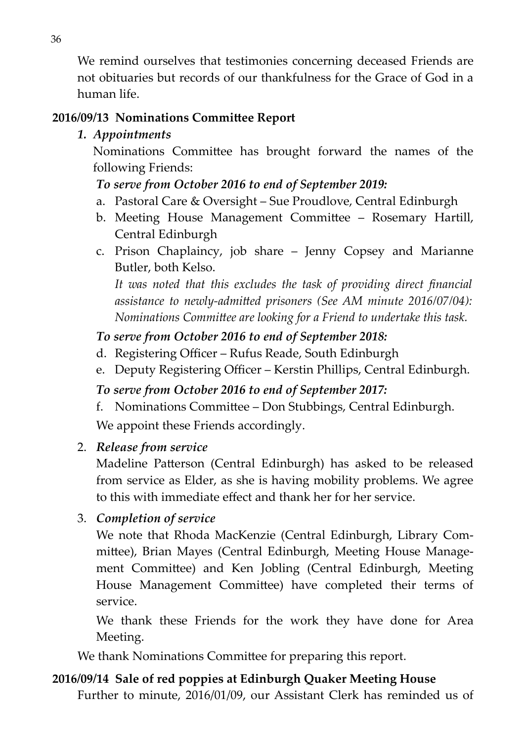We remind ourselves that testimonies concerning deceased Friends are not obituaries but records of our thankfulness for the Grace of God in a human life.

#### **2016/09/13 Nominations Committee Report**

#### *1. Appointments*

Nominations Committee has brought forward the names of the following Friends:

#### *To serve from October 2016 to end of September 2019:*

- a. Pastoral Care & Oversight Sue Proudlove, Central Edinburgh
- b. Meeting House Management Committee Rosemary Hartill, Central Edinburgh
- c. Prison Chaplaincy, job share Jenny Copsey and Marianne Butler, both Kelso.

*It was noted that this excludes the task of providing direct financial assistance to newly-admitted prisoners (See AM minute 2016/07/04): Nominations Committee are looking for a Friend to undertake this task.*

#### *To serve from October 2016 to end of September 2018:*

- d. Registering Officer Rufus Reade, South Edinburgh
- e. Deputy Registering Officer Kerstin Phillips, Central Edinburgh.

#### *To serve from October 2016 to end of September 2017:*

f. Nominations Committee – Don Stubbings, Central Edinburgh.

We appoint these Friends accordingly.

#### 2. *Release from service*

Madeline Patterson (Central Edinburgh) has asked to be released from service as Elder, as she is having mobility problems. We agree to this with immediate effect and thank her for her service.

3. *Completion of service*

We note that Rhoda MacKenzie (Central Edinburgh, Library Committee), Brian Mayes (Central Edinburgh, Meeting House Management Committee) and Ken Jobling (Central Edinburgh, Meeting House Management Committee) have completed their terms of service.

We thank these Friends for the work they have done for Area Meeting.

We thank Nominations Committee for preparing this report.

#### **2016/09/14 Sale of red poppies at Edinburgh Quaker Meeting House**

Further to minute, 2016/01/09, our Assistant Clerk has reminded us of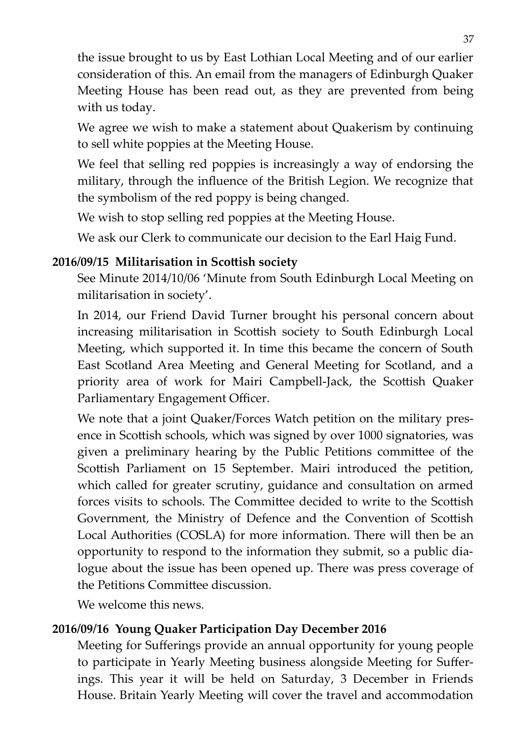the issue brought to us by East Lothian Local Meeting and of our earlier consideration of this. An email from the managers of Edinburgh Quaker Meeting House has been read out, as they are prevented from being with us today.

We agree we wish to make a statement about Quakerism by continuing to sell white poppies at the Meeting House.

We feel that selling red poppies is increasingly a way of endorsing the military, through the influence of the British Legion. We recognize that the symbolism of the red poppy is being changed.

We wish to stop selling red poppies at the Meeting House.

We ask our Clerk to communicate our decision to the Earl Haig Fund.

#### **2016/09/15 Militarisation in Scottish society**

See Minute 2014/10/06 'Minute from South Edinburgh Local Meeting on militarisation in society'.

In 2014, our Friend David Turner brought his personal concern about increasing militarisation in Scottish society to South Edinburgh Local Meeting, which supported it. In time this became the concern of South East Scotland Area Meeting and General Meeting for Scotland, and a priority area of work for Mairi Campbell-Jack, the Scottish Quaker Parliamentary Engagement Officer.

We note that a joint Quaker/Forces Watch petition on the military presence in Scottish schools, which was signed by over 1000 signatories, was given a preliminary hearing by the Public Petitions committee of the Scottish Parliament on 15 September. Mairi introduced the petition, which called for greater scrutiny, guidance and consultation on armed forces visits to schools. The Committee decided to write to the Scottish Government, the Ministry of Defence and the Convention of Scottish Local Authorities (COSLA) for more information. There will then be an opportunity to respond to the information they submit, so a public dialogue about the issue has been opened up. There was press coverage of the Petitions Committee discussion.

We welcome this news.

#### **2016/09/16 Young Quaker Participation Day December 2016**

Meeting for Sufferings provide an annual opportunity for young people to participate in Yearly Meeting business alongside Meeting for Sufferings. This year it will be held on Saturday, 3 December in Friends House. Britain Yearly Meeting will cover the travel and accommodation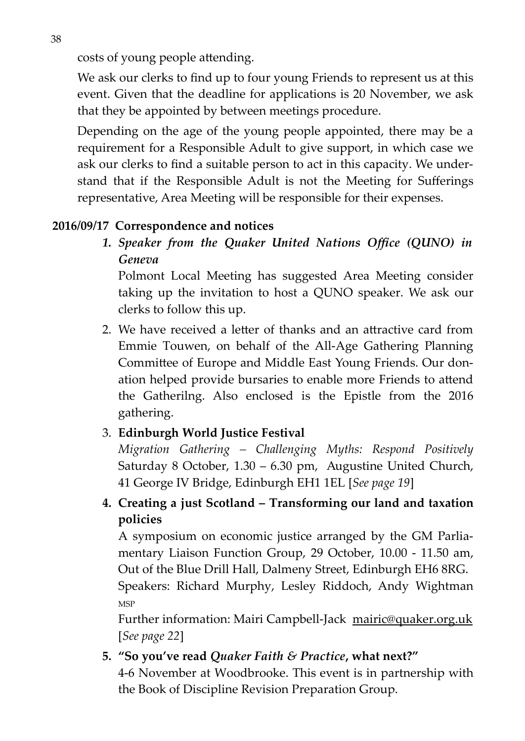costs of young people attending.

We ask our clerks to find up to four young Friends to represent us at this event. Given that the deadline for applications is 20 November, we ask that they be appointed by between meetings procedure.

Depending on the age of the young people appointed, there may be a requirement for a Responsible Adult to give support, in which case we ask our clerks to find a suitable person to act in this capacity. We understand that if the Responsible Adult is not the Meeting for Sufferings representative, Area Meeting will be responsible for their expenses.

#### **2016/09/17 Correspondence and notices**

*1. Speaker from the Quaker United Nations Office (QUNO) in Geneva*

Polmont Local Meeting has suggested Area Meeting consider taking up the invitation to host a QUNO speaker. We ask our clerks to follow this up.

2. We have received a letter of thanks and an attractive card from Emmie Touwen, on behalf of the All-Age Gathering Planning Committee of Europe and Middle East Young Friends. Our donation helped provide bursaries to enable more Friends to attend the Gatherilng. Also enclosed is the Epistle from the 2016 gathering.

#### 3. **Edinburgh World Justice Festival**

*Migration Gathering – Challenging Myths: Respond Positively* Saturday 8 October, 1.30 – 6.30 pm, Augustine United Church, 41 George IV Bridge, Edinburgh EH1 1EL [\[](https://ewjfgathering2016eventbrite.co.uk/)*See page 19*]

**4. Creating a just Scotland – Transforming our land and taxation policies**

A symposium on economic justice arranged by the GM Parliamentary Liaison Function Group, 29 October, 10.00 - 11.50 am, Out of the Blue Drill Hall, Dalmeny Street, Edinburgh EH6 8RG. Speakers: Richard Murphy, Lesley Riddoch, Andy Wightman MSP

Further information: Mairi Campbell-Jack [mairic@quaker.org.uk](mailto:mairic@quaker.org.uk) [*See page 22*]

#### **5. "So you've read** *Quaker Faith & Practice***, what next?"**

4-6 November at Woodbrooke. This event is in partnership with the Book of Discipline Revision Preparation Group.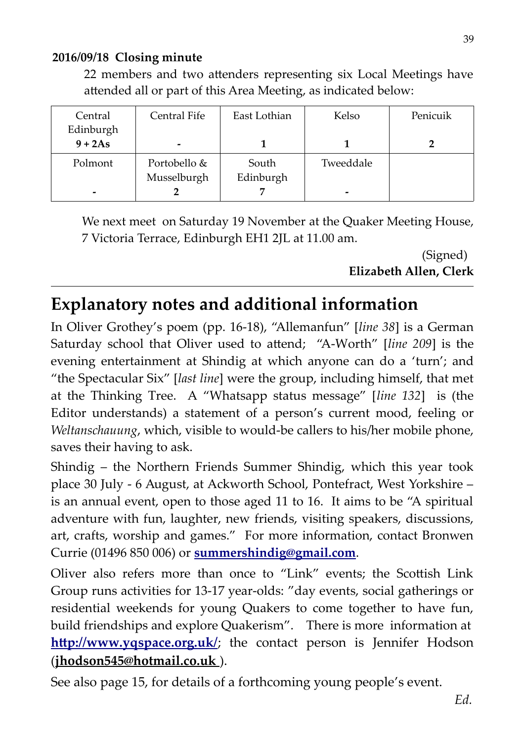#### **2016/09/18 Closing minute**

22 members and two attenders representing six Local Meetings have attended all or part of this Area Meeting, as indicated below:

| Central   | Central Fife | East Lothian | Kelso     | Penicuik |
|-----------|--------------|--------------|-----------|----------|
| Edinburgh |              |              |           |          |
| $9 + 2As$ |              |              |           |          |
| Polmont   | Portobello & | South        | Tweeddale |          |
|           | Musselburgh  | Edinburgh    |           |          |
| -         |              |              | -         |          |

We next meet on Saturday 19 November at the Quaker Meeting House, 7 Victoria Terrace, Edinburgh EH1 2JL at 11.00 am.

> (Signed) **Elizabeth Allen, Clerk**

# **Explanatory notes and additional information**

In Oliver Grothey's poem (pp. 16-18), "Allemanfun" [*line 38*] is a German Saturday school that Oliver used to attend; "A-Worth" [*line 209*] is the evening entertainment at Shindig at which anyone can do a 'turn'; and "the Spectacular Six" [*last line*] were the group, including himself, that met at the Thinking Tree. A "Whatsapp status message" [*line 132*] is (the Editor understands) a statement of a person's current mood, feeling or *Weltanschauung*, which, visible to would-be callers to his/her mobile phone, saves their having to ask.

Shindig – the Northern Friends Summer Shindig, which this year took place 30 July - 6 August, at Ackworth School, Pontefract, West Yorkshire – is an annual event, open to those aged 11 to 16. It aims to be "A spiritual adventure with fun, laughter, new friends, visiting speakers, discussions, art, crafts, worship and games." For more information, contact Bronwen Currie (01496 850 006) or **[summershindig@gmail.com](mailto:summershindig@gmail.com)**.

Oliver also refers more than once to "Link" events; the Scottish Link Group runs activities for 13-17 year-olds: "day events, social gatherings or residential weekends for young Quakers to come together to have fun, build friendships and explore Quakerism". There is more information at **<http://www.yqspace.org.uk/>;** the contact person is Jennifer Hodson (**jhodson545@hotmail.co.uk** ).

See also page 15, for details of a forthcoming young people's event.